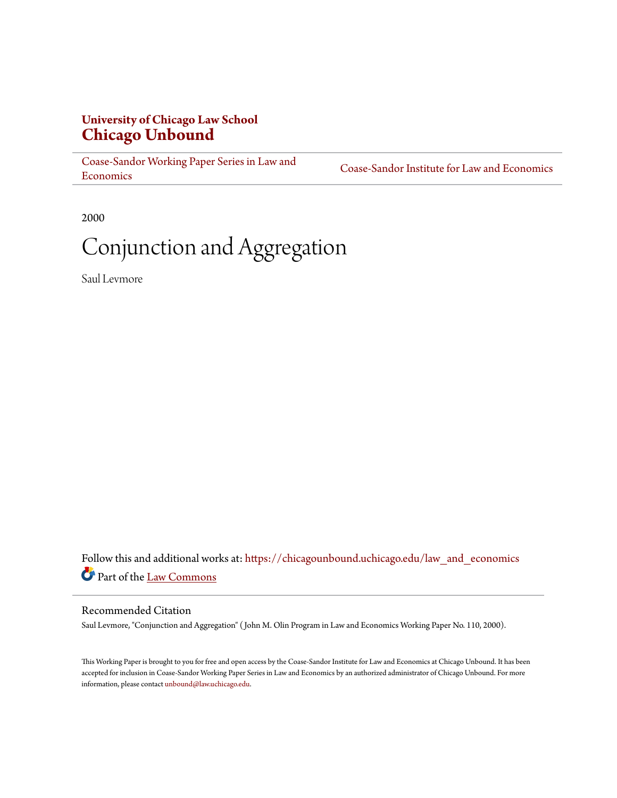# **University of Chicago Law School [Chicago Unbound](https://chicagounbound.uchicago.edu?utm_source=chicagounbound.uchicago.edu%2Flaw_and_economics%2F118&utm_medium=PDF&utm_campaign=PDFCoverPages)**

[Coase-Sandor Working Paper Series in Law and](https://chicagounbound.uchicago.edu/law_and_economics?utm_source=chicagounbound.uchicago.edu%2Flaw_and_economics%2F118&utm_medium=PDF&utm_campaign=PDFCoverPages) [Economics](https://chicagounbound.uchicago.edu/law_and_economics?utm_source=chicagounbound.uchicago.edu%2Flaw_and_economics%2F118&utm_medium=PDF&utm_campaign=PDFCoverPages)

[Coase-Sandor Institute for Law and Economics](https://chicagounbound.uchicago.edu/coase_sandor_institute?utm_source=chicagounbound.uchicago.edu%2Flaw_and_economics%2F118&utm_medium=PDF&utm_campaign=PDFCoverPages)

2000

# Conjunction and Aggregation

Saul Levmore

Follow this and additional works at: [https://chicagounbound.uchicago.edu/law\\_and\\_economics](https://chicagounbound.uchicago.edu/law_and_economics?utm_source=chicagounbound.uchicago.edu%2Flaw_and_economics%2F118&utm_medium=PDF&utm_campaign=PDFCoverPages) Part of the [Law Commons](http://network.bepress.com/hgg/discipline/578?utm_source=chicagounbound.uchicago.edu%2Flaw_and_economics%2F118&utm_medium=PDF&utm_campaign=PDFCoverPages)

#### Recommended Citation

Saul Levmore, "Conjunction and Aggregation" ( John M. Olin Program in Law and Economics Working Paper No. 110, 2000).

This Working Paper is brought to you for free and open access by the Coase-Sandor Institute for Law and Economics at Chicago Unbound. It has been accepted for inclusion in Coase-Sandor Working Paper Series in Law and Economics by an authorized administrator of Chicago Unbound. For more information, please contact [unbound@law.uchicago.edu.](mailto:unbound@law.uchicago.edu)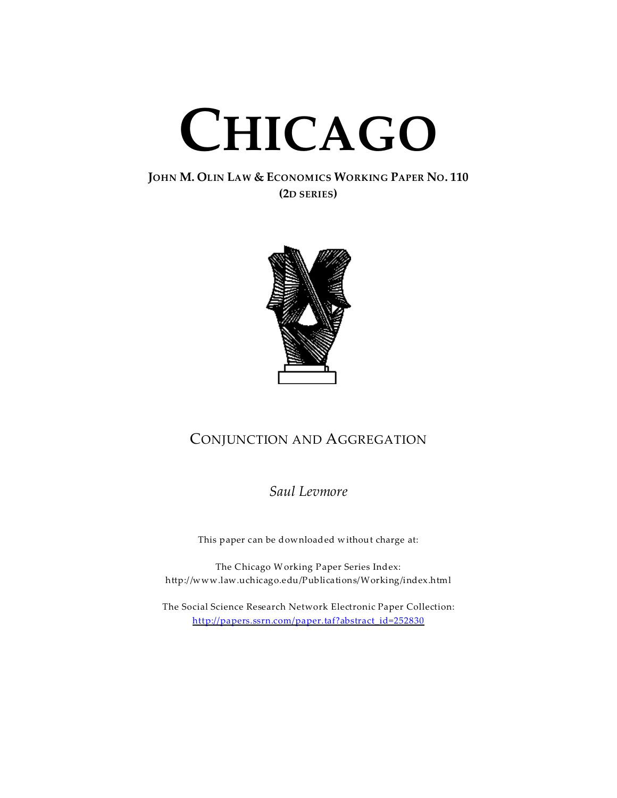

## **JOHN M. OLIN LAW & ECONOMICS WORKING PAPER NO. 110 (2D SERIES)**



# CONJUNCTION AND AGGREGATION

*Saul Levmore*

This paper can be downloaded without charge at:

The Chicago Working Paper Series Index: http://www.law.uchicago.edu/Publications/Working/index.html

The Social Science Research Network Electronic Paper Collection: http://papers.ssrn.com/paper.taf?abstract\_id=252830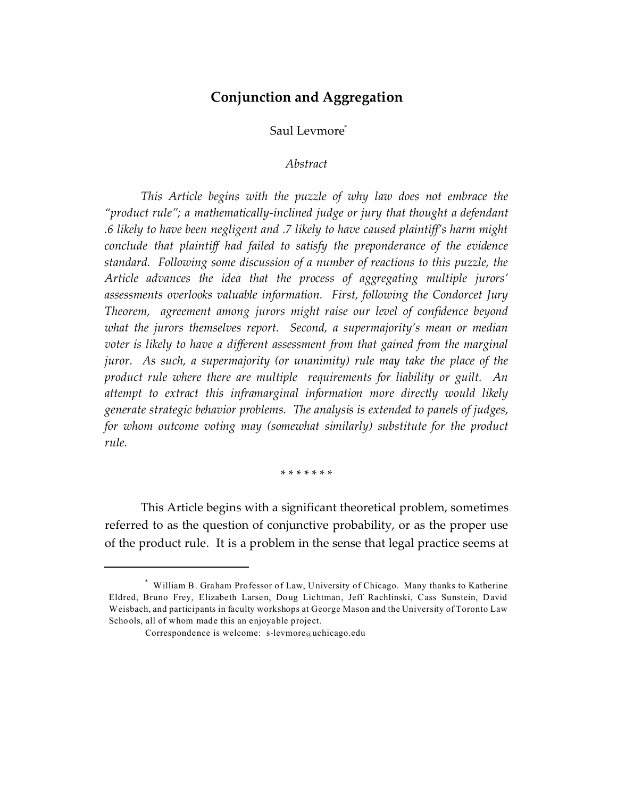## **Conjunction and Aggregation**

Saul Levmore<sup>\*</sup>

*Abstract*

*This Article begins with the puzzle of why law does not embrace the "product rule"; a mathematically-inclined judge or jury that thought a defendant .6 likely to have been negligent and .7 likely to have caused plaintiff's harm might conclude that plaintiff had failed to satisfy the preponderance of the evidence standard. Following some discussion of a number of reactions to this puzzle, the Article advances the idea that the process of aggregating multiple jurors' assessments overlooks valuable information. First, following the Condorcet Jury Theorem, agreement among jurors might raise our level of confidence beyond what the jurors themselves report. Second, a supermajority's mean or median voter is likely to have a different assessment from that gained from the marginal juror. As such, a supermajority (or unanimity) rule may take the place of the product rule where there are multiple requirements for liability or guilt. An attempt to extract this inframarginal information more directly would likely generate strategic behavior problems. The analysis is extended to panels of judges, for whom outcome voting may (somewhat similarly) substitute for the product rule.*

\* \* \* \* \* \* \*

This Article begins with a significant theoretical problem, sometimes referred to as the question of conjunctive probability, or as the proper use of the product rule. It is a problem in the sense that legal practice seems at

<sup>\*</sup> William B. Graham Professor of Law, University of Chicago. Many thanks to Katherine Eldred, Bruno Frey, Elizabeth Larsen, Doug Lichtman, Jeff Rachlinski, Cass Sunstein, David Weisbach, and participants in faculty workshops at George Mason and the University of Toronto Law Schools, all of whom made this an enjoyable project.

Correspondence is welcome: s-levmore@uchicago.edu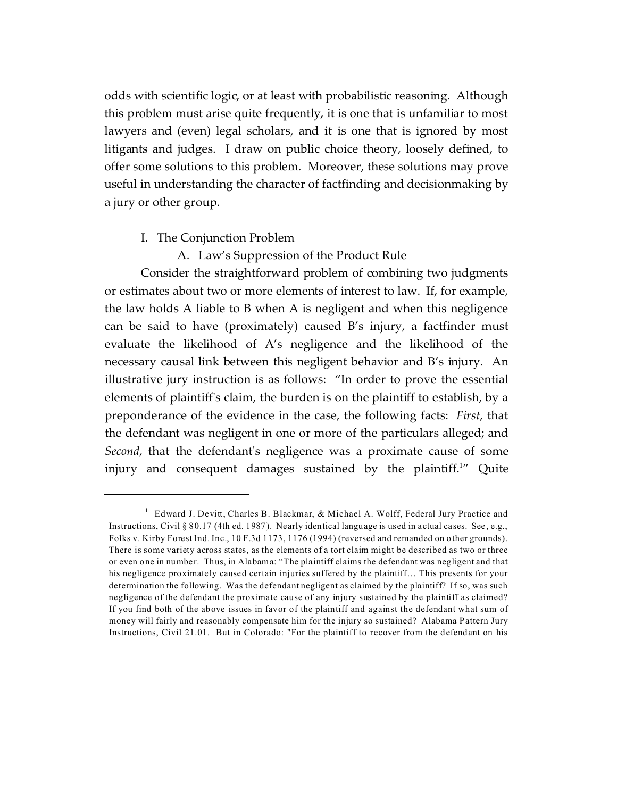odds with scientific logic, or at least with probabilistic reasoning. Although this problem must arise quite frequently, it is one that is unfamiliar to most lawyers and (even) legal scholars, and it is one that is ignored by most litigants and judges. I draw on public choice theory, loosely defined, to offer some solutions to this problem. Moreover, these solutions may prove useful in understanding the character of factfinding and decisionmaking by a jury or other group.

#### I. The Conjunction Problem

A. Law's Suppression of the Product Rule

Consider the straightforward problem of combining two judgments or estimates about two or more elements of interest to law. If, for example, the law holds A liable to B when A is negligent and when this negligence can be said to have (proximately) caused B's injury, a factfinder must evaluate the likelihood of A's negligence and the likelihood of the necessary causal link between this negligent behavior and B's injury. An illustrative jury instruction is as follows: "In order to prove the essential elements of plaintiff's claim, the burden is on the plaintiff to establish, by a preponderance of the evidence in the case, the following facts: *First*, that the defendant was negligent in one or more of the particulars alleged; and *Second*, that the defendant's negligence was a proximate cause of some injury and consequent damages sustained by the plaintiff.<sup>1</sup>" Quite

<sup>&</sup>lt;sup>1</sup> Edward J. Devitt, Charles B. Blackmar, & Michael A. Wolff, Federal Jury Practice and Instructions, Civil § 80.17 (4th ed. 1987). Nearly identical language is used in actual cases. See, e.g., Folks v. Kirby Forest Ind. Inc., 10 F.3d 1173, 1176 (1994) (reversed and remanded on other grounds). There is some variety across states, as the elements of a tort claim might be described as two or three or even one in number. Thus, in Alabama: "The plaintiff claims the defendant was negligent and that his negligence proximately caused certain injuries suffered by the plaintiff… This presents for your determination the following. Was the defendant negligent as claimed by the plaintiff? If so, was such negligence of the defendant the proximate cause of any injury sustained by the plaintiff as claimed? If you find both of the above issues in favor of the plaintiff and against the defendant what sum of money will fairly and reasonably compensate him for the injury so sustained? Alabama Pattern Jury Instructions, Civil 21.01. But in Colorado: "For the plaintiff to recover from the defendant on his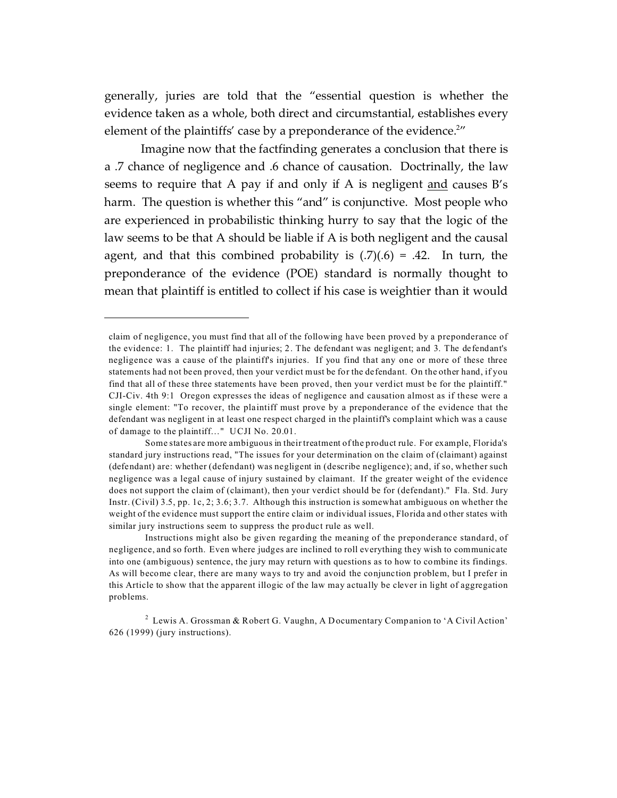generally, juries are told that the "essential question is whether the evidence taken as a whole, both direct and circumstantial, establishes every element of the plaintiffs' case by a preponderance of the evidence. $2^{\prime\prime}$ 

Imagine now that the factfinding generates a conclusion that there is a .7 chance of negligence and .6 chance of causation. Doctrinally, the law seems to require that A pay if and only if A is negligent and causes B's harm. The question is whether this "and" is conjunctive. Most people who are experienced in probabilistic thinking hurry to say that the logic of the law seems to be that A should be liable if A is both negligent and the causal agent, and that this combined probability is  $(.7)(.6) = .42$ . In turn, the preponderance of the evidence (POE) standard is normally thought to mean that plaintiff is entitled to collect if his case is weightier than it would

claim of negligence, you must find that all of the following have been proved by a preponderance of the evidence: 1. The plaintiff had injuries; 2. The defendant was negligent; and 3. The defendant's negligence was a cause of the plaintiff's injuries. If you find that any one or more of these three statements had not been proved, then your verdict must be for the defendant. On the other hand, if you find that all of these three statements have been proved, then your verdict must be for the plaintiff." CJI-Civ. 4th 9:1 Oregon expresses the ideas of negligence and causation almost as if these were a single element: "To recover, the plaintiff must prove by a preponderance of the evidence that the defendant was negligent in at least one respect charged in the plaintiff's complaint which was a cause of damage to the plaintiff…" UCJI No. 20.01.

Some states are more ambiguous in their treatment of the product rule. For example, Florida's standard jury instructions read, "The issues for your determination on the claim of (claimant) against (defendant) are: whether (defendant) was negligent in (describe negligence); and, if so, whether such negligence was a legal cause of injury sustained by claimant. If the greater weight of the evidence does not support the claim of (claimant), then your verdict should be for (defendant)." Fla. Std. Jury Instr. (Civil) 3.5, pp. 1c, 2; 3.6; 3.7. Although this instruction is somewhat ambiguous on whether the weight of the evidence must support the entire claim or individual issues, Florida and other states with similar jury instructions seem to suppress the product rule as well.

Instructions might also be given regarding the meaning of the preponderance standard, of negligence, and so forth. Even where judges are inclined to roll everything they wish to communicate into one (ambiguous) sentence, the jury may return with questions as to how to combine its findings. As will become clear, there are many ways to try and avoid the conjunction problem, but I prefer in this Article to show that the apparent illogic of the law may actually be clever in light of aggregation problems.

 $2$  Lewis A. Grossman & Robert G. Vaughn, A Documentary Companion to 'A Civil Action' 626 (1999) (jury instructions).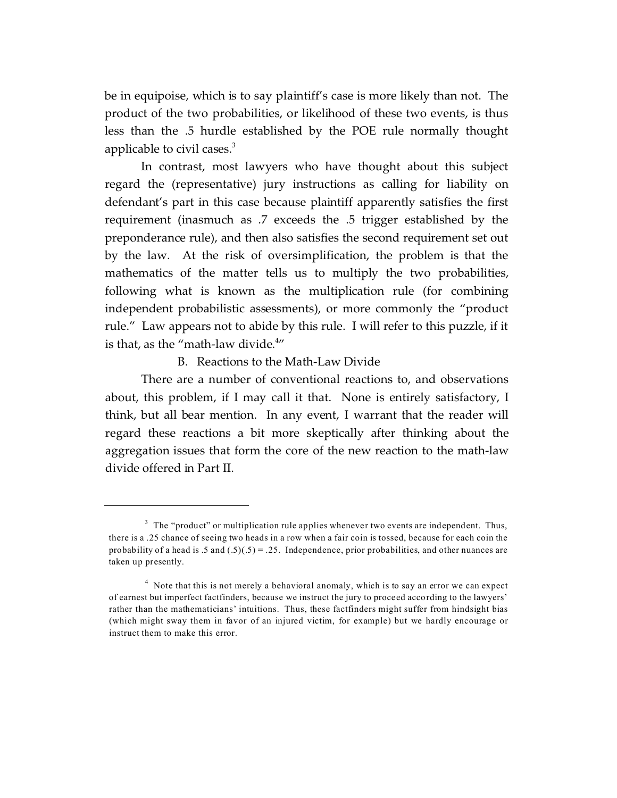be in equipoise, which is to say plaintiff's case is more likely than not. The product of the two probabilities, or likelihood of these two events, is thus less than the .5 hurdle established by the POE rule normally thought applicable to civil cases.<sup>3</sup>

In contrast, most lawyers who have thought about this subject regard the (representative) jury instructions as calling for liability on defendant's part in this case because plaintiff apparently satisfies the first requirement (inasmuch as .7 exceeds the .5 trigger established by the preponderance rule), and then also satisfies the second requirement set out by the law. At the risk of oversimplification, the problem is that the mathematics of the matter tells us to multiply the two probabilities, following what is known as the multiplication rule (for combining independent probabilistic assessments), or more commonly the "product rule." Law appears not to abide by this rule. I will refer to this puzzle, if it is that, as the "math-law divide. 4 "

#### B. Reactions to the Math-Law Divide

There are a number of conventional reactions to, and observations about, this problem, if I may call it that. None is entirely satisfactory, I think, but all bear mention. In any event, I warrant that the reader will regard these reactions a bit more skeptically after thinking about the aggregation issues that form the core of the new reaction to the math-law divide offered in Part II.

 $3$  The "product" or multiplication rule applies whenever two events are independent. Thus, there is a .25 chance of seeing two heads in a row when a fair coin is tossed, because for each coin the probability of a head is .5 and  $(.5)(.5) = .25$ . Independence, prior probabilities, and other nuances are taken up presently.

<sup>&</sup>lt;sup>4</sup> Note that this is not merely a behavioral anomaly, which is to say an error we can expect of earnest but imperfect factfinders, because we instruct the jury to proceed according to the lawyers' rather than the mathematicians' intuitions. Thus, these factfinders might suffer from hindsight bias (which might sway them in favor of an injured victim, for example) but we hardly encourage or instruct them to make this error.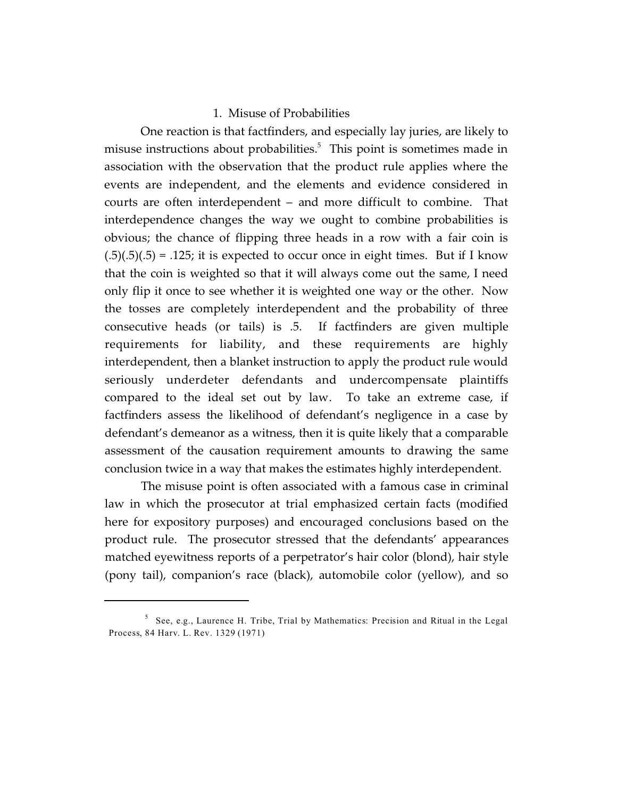#### 1. Misuse of Probabilities

One reaction is that factfinders, and especially lay juries, are likely to misuse instructions about probabilities.<sup>5</sup> This point is sometimes made in association with the observation that the product rule applies where the events are independent, and the elements and evidence considered in courts are often interdependent – and more difficult to combine. That interdependence changes the way we ought to combine probabilities is obvious; the chance of flipping three heads in a row with a fair coin is  $(0.5)(0.5) = 0.125$ ; it is expected to occur once in eight times. But if I know that the coin is weighted so that it will always come out the same, I need only flip it once to see whether it is weighted one way or the other. Now the tosses are completely interdependent and the probability of three consecutive heads (or tails) is .5. If factfinders are given multiple requirements for liability, and these requirements are highly interdependent, then a blanket instruction to apply the product rule would seriously underdeter defendants and undercompensate plaintiffs compared to the ideal set out by law. To take an extreme case, if factfinders assess the likelihood of defendant's negligence in a case by defendant's demeanor as a witness, then it is quite likely that a comparable assessment of the causation requirement amounts to drawing the same conclusion twice in a way that makes the estimates highly interdependent.

The misuse point is often associated with a famous case in criminal law in which the prosecutor at trial emphasized certain facts (modified here for expository purposes) and encouraged conclusions based on the product rule. The prosecutor stressed that the defendants' appearances matched eyewitness reports of a perpetrator's hair color (blond), hair style (pony tail), companion's race (black), automobile color (yellow), and so

<sup>&</sup>lt;sup>5</sup> See, e.g., Laurence H. Tribe, Trial by Mathematics: Precision and Ritual in the Legal Process, 84 Harv. L. Rev. 1329 (1971)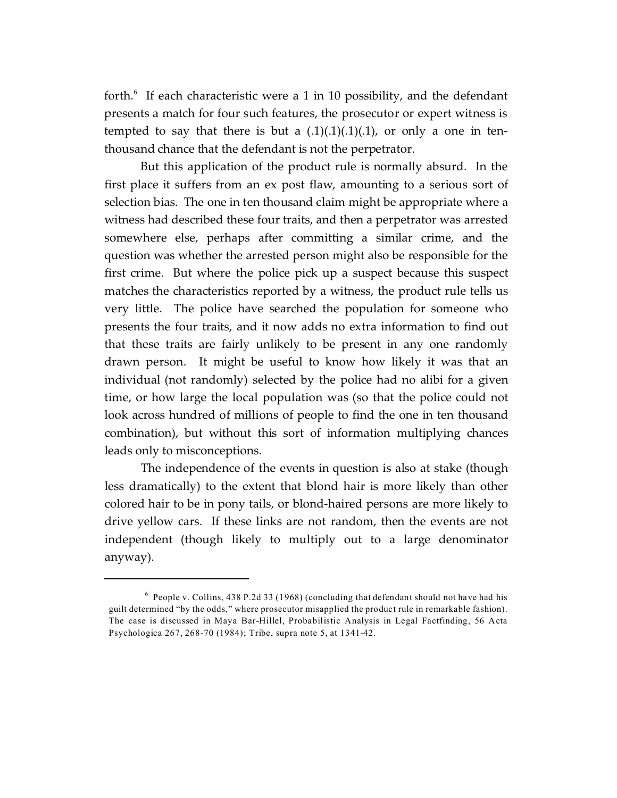forth.<sup>6</sup> If each characteristic were a 1 in 10 possibility, and the defendant presents a match for four such features, the prosecutor or expert witness is tempted to say that there is but a  $(.1)(.1)(.1)(.1)$ , or only a one in tenthousand chance that the defendant is not the perpetrator.

But this application of the product rule is normally absurd. In the first place it suffers from an ex post flaw, amounting to a serious sort of selection bias. The one in ten thousand claim might be appropriate where a witness had described these four traits, and then a perpetrator was arrested somewhere else, perhaps after committing a similar crime, and the question was whether the arrested person might also be responsible for the first crime. But where the police pick up a suspect because this suspect matches the characteristics reported by a witness, the product rule tells us very little. The police have searched the population for someone who presents the four traits, and it now adds no extra information to find out that these traits are fairly unlikely to be present in any one randomly drawn person. It might be useful to know how likely it was that an individual (not randomly) selected by the police had no alibi for a given time, or how large the local population was (so that the police could not look across hundred of millions of people to find the one in ten thousand combination), but without this sort of information multiplying chances leads only to misconceptions.

The independence of the events in question is also at stake (though less dramatically) to the extent that blond hair is more likely than other colored hair to be in pony tails, or blond-haired persons are more likely to drive yellow cars. If these links are not random, then the events are not independent (though likely to multiply out to a large denominator anyway).

 $6$  People v. Collins, 438 P.2d 33 (1968) (concluding that defendant should not have had his guilt determined "by the odds," where prosecutor misapplied the product rule in remarkable fashion). The case is discussed in Maya Bar-Hillel, Probabilistic Analysis in Legal Factfinding, 56 Acta Psychologica 267, 268-70 (1984); Tribe, supra note 5, at 1341-42.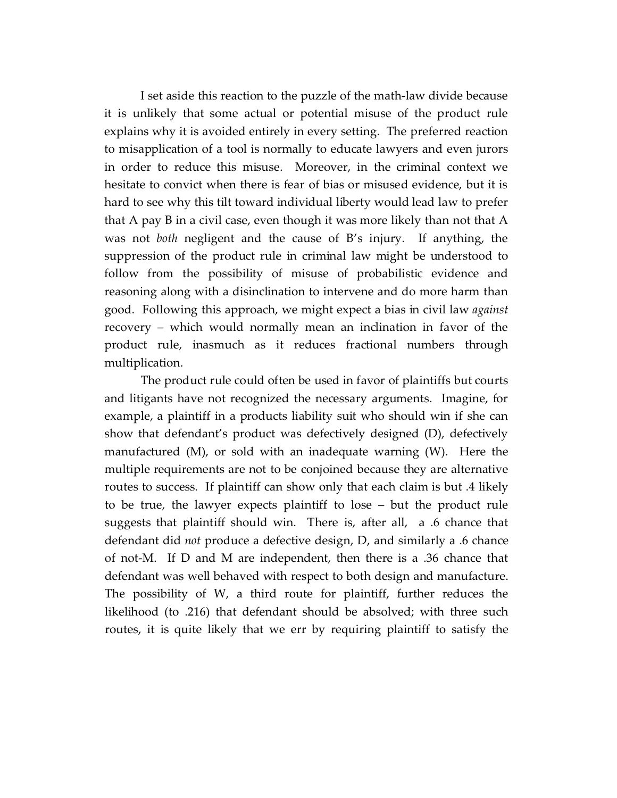I set aside this reaction to the puzzle of the math-law divide because it is unlikely that some actual or potential misuse of the product rule explains why it is avoided entirely in every setting. The preferred reaction to misapplication of a tool is normally to educate lawyers and even jurors in order to reduce this misuse. Moreover, in the criminal context we hesitate to convict when there is fear of bias or misused evidence, but it is hard to see why this tilt toward individual liberty would lead law to prefer that A pay B in a civil case, even though it was more likely than not that A was not *both* negligent and the cause of B's injury. If anything, the suppression of the product rule in criminal law might be understood to follow from the possibility of misuse of probabilistic evidence and reasoning along with a disinclination to intervene and do more harm than good. Following this approach, we might expect a bias in civil law *against* recovery – which would normally mean an inclination in favor of the product rule, inasmuch as it reduces fractional numbers through multiplication.

The product rule could often be used in favor of plaintiffs but courts and litigants have not recognized the necessary arguments. Imagine, for example, a plaintiff in a products liability suit who should win if she can show that defendant's product was defectively designed (D), defectively manufactured (M), or sold with an inadequate warning (W). Here the multiple requirements are not to be conjoined because they are alternative routes to success. If plaintiff can show only that each claim is but .4 likely to be true, the lawyer expects plaintiff to lose – but the product rule suggests that plaintiff should win. There is, after all, a .6 chance that defendant did *not* produce a defective design, D, and similarly a .6 chance of not-M. If D and M are independent, then there is a .36 chance that defendant was well behaved with respect to both design and manufacture. The possibility of W, a third route for plaintiff, further reduces the likelihood (to .216) that defendant should be absolved; with three such routes, it is quite likely that we err by requiring plaintiff to satisfy the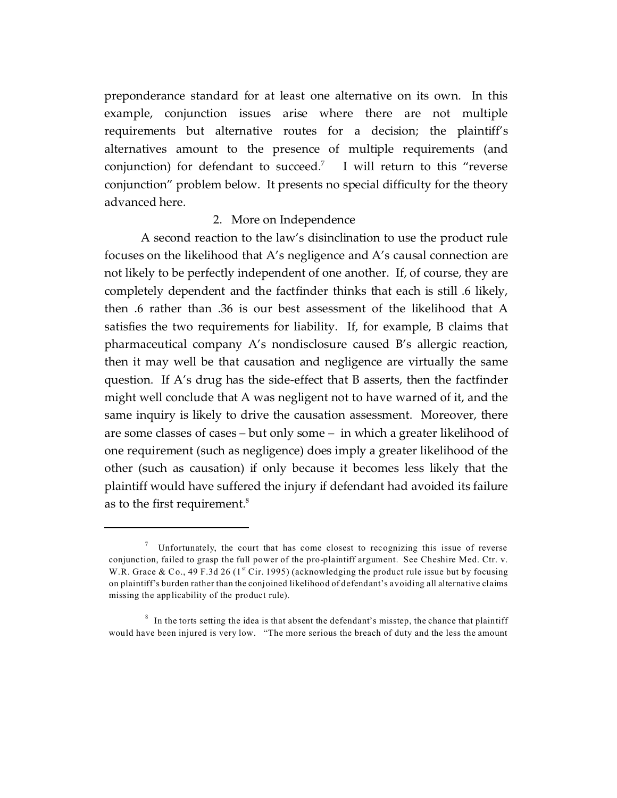preponderance standard for at least one alternative on its own. In this example, conjunction issues arise where there are not multiple requirements but alternative routes for a decision; the plaintiff's alternatives amount to the presence of multiple requirements (and conjunction) for defendant to succeed.<sup>7</sup> I will return to this "reverse conjunction" problem below. It presents no special difficulty for the theory advanced here.

#### 2. More on Independence

A second reaction to the law's disinclination to use the product rule focuses on the likelihood that A's negligence and A's causal connection are not likely to be perfectly independent of one another. If, of course, they are completely dependent and the factfinder thinks that each is still .6 likely, then .6 rather than .36 is our best assessment of the likelihood that A satisfies the two requirements for liability. If, for example, B claims that pharmaceutical company A's nondisclosure caused B's allergic reaction, then it may well be that causation and negligence are virtually the same question. If A's drug has the side-effect that B asserts, then the factfinder might well conclude that A was negligent not to have warned of it, and the same inquiry is likely to drive the causation assessment. Moreover, there are some classes of cases – but only some – in which a greater likelihood of one requirement (such as negligence) does imply a greater likelihood of the other (such as causation) if only because it becomes less likely that the plaintiff would have suffered the injury if defendant had avoided its failure as to the first requirement. $8$ 

 $\frac{7}{10}$  Unfortunately, the court that has come closest to recognizing this issue of reverse conjunction, failed to grasp the full power of the pro-plaintiff argument. See Cheshire Med. Ctr. v. W.R. Grace & Co., 49 F.3d 26 ( $1<sup>st</sup>$  Cir. 1995) (acknowledging the product rule issue but by focusing on plaintiff's burden rather than the conjoined likelihood of defendant's avoiding all alternative claims missing the applicability of the product rule).

 $8\,$  In the torts setting the idea is that absent the defendant's misstep, the chance that plaintiff would have been injured is very low. "The more serious the breach of duty and the less the amount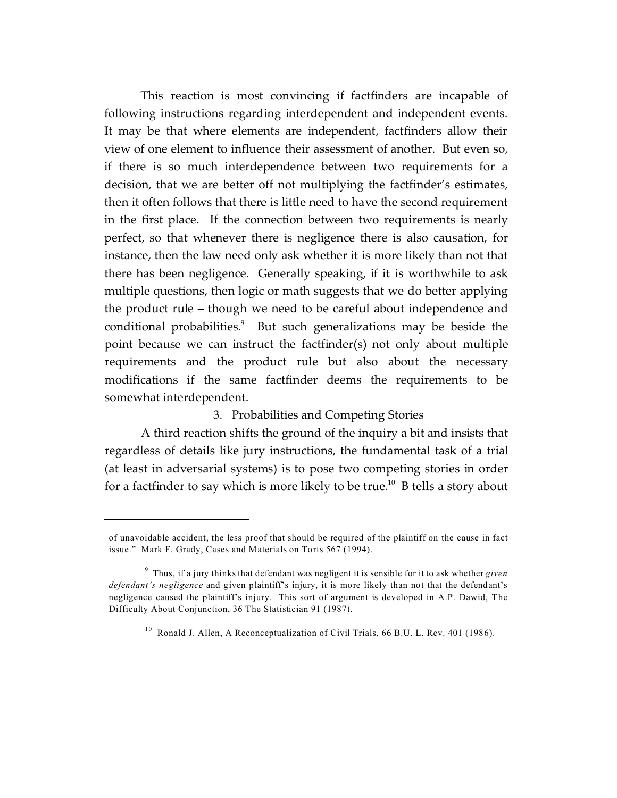This reaction is most convincing if factfinders are incapable of following instructions regarding interdependent and independent events. It may be that where elements are independent, factfinders allow their view of one element to influence their assessment of another. But even so, if there is so much interdependence between two requirements for a decision, that we are better off not multiplying the factfinder's estimates, then it often follows that there is little need to have the second requirement in the first place. If the connection between two requirements is nearly perfect, so that whenever there is negligence there is also causation, for instance, then the law need only ask whether it is more likely than not that there has been negligence. Generally speaking, if it is worthwhile to ask multiple questions, then logic or math suggests that we do better applying the product rule – though we need to be careful about independence and conditional probabilities.<sup>9</sup> But such generalizations may be beside the point because we can instruct the factfinder(s) not only about multiple requirements and the product rule but also about the necessary modifications if the same factfinder deems the requirements to be somewhat interdependent.

#### 3. Probabilities and Competing Stories

A third reaction shifts the ground of the inquiry a bit and insists that regardless of details like jury instructions, the fundamental task of a trial (at least in adversarial systems) is to pose two competing stories in order for a factfinder to say which is more likely to be true.<sup>10</sup> B tells a story about

of unavoidable accident, the less proof that should be required of the plaintiff on the cause in fact issue." Mark F. Grady, Cases and Materials on Torts 567 (1994).

<sup>9</sup> Thus, if a jury thinks that defendant was negligent it is sensible for it to ask whether *given defendant's negligence* and given plaintiff's injury, it is more likely than not that the defendant's negligence caused the plaintiff's injury. This sort of argument is developed in A.P. Dawid, The Difficulty About Conjunction, 36 The Statistician 91 (1987).

 $10$  Ronald J. Allen, A Reconceptualization of Civil Trials, 66 B.U. L. Rev. 401 (1986).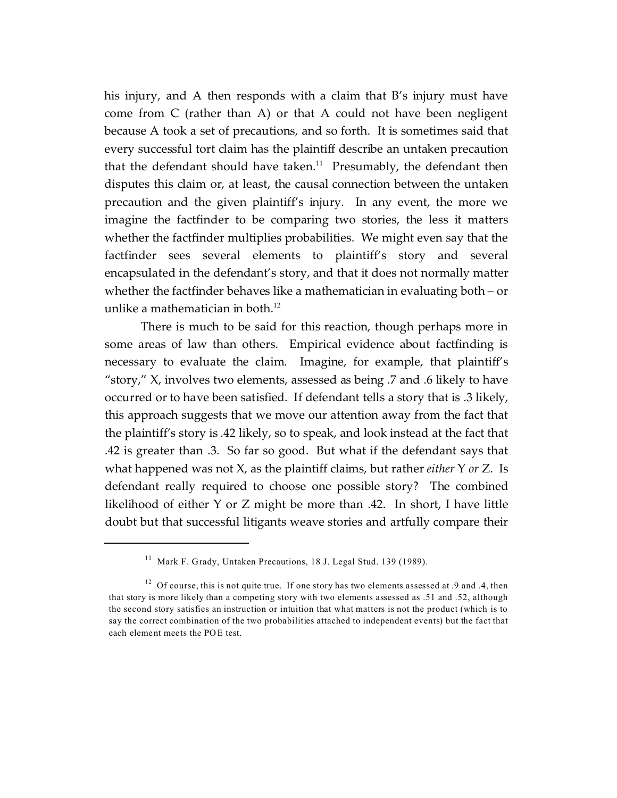his injury, and A then responds with a claim that B's injury must have come from C (rather than A) or that A could not have been negligent because A took a set of precautions, and so forth. It is sometimes said that every successful tort claim has the plaintiff describe an untaken precaution that the defendant should have taken.<sup>11</sup> Presumably, the defendant then disputes this claim or, at least, the causal connection between the untaken precaution and the given plaintiff's injury. In any event, the more we imagine the factfinder to be comparing two stories, the less it matters whether the factfinder multiplies probabilities. We might even say that the factfinder sees several elements to plaintiff's story and several encapsulated in the defendant's story, and that it does not normally matter whether the factfinder behaves like a mathematician in evaluating both – or unlike a mathematician in both.<sup>12</sup>

There is much to be said for this reaction, though perhaps more in some areas of law than others. Empirical evidence about factfinding is necessary to evaluate the claim. Imagine, for example, that plaintiff's "story,"  $X$ , involves two elements, assessed as being  $.7$  and  $.6$  likely to have occurred or to have been satisfied. If defendant tells a story that is .3 likely, this approach suggests that we move our attention away from the fact that the plaintiff's story is .42 likely, so to speak, and look instead at the fact that .42 is greater than .3. So far so good. But what if the defendant says that what happened was not X, as the plaintiff claims, but rather *either* Y *or* Z. Is defendant really required to choose one possible story? The combined likelihood of either Y or Z might be more than .42. In short, I have little doubt but that successful litigants weave stories and artfully compare their

<sup>&</sup>lt;sup>11</sup> Mark F. Grady, Untaken Precautions, 18 J. Legal Stud. 139 (1989).

 $12$  Of course, this is not quite true. If one story has two elements assessed at .9 and .4, then that story is more likely than a competing story with two elements assessed as .51 and .52, although the second story satisfies an instruction or intuition that what matters is not the product (which is to say the correct combination of the two probabilities attached to independent events) but the fact that each element meets the POE test.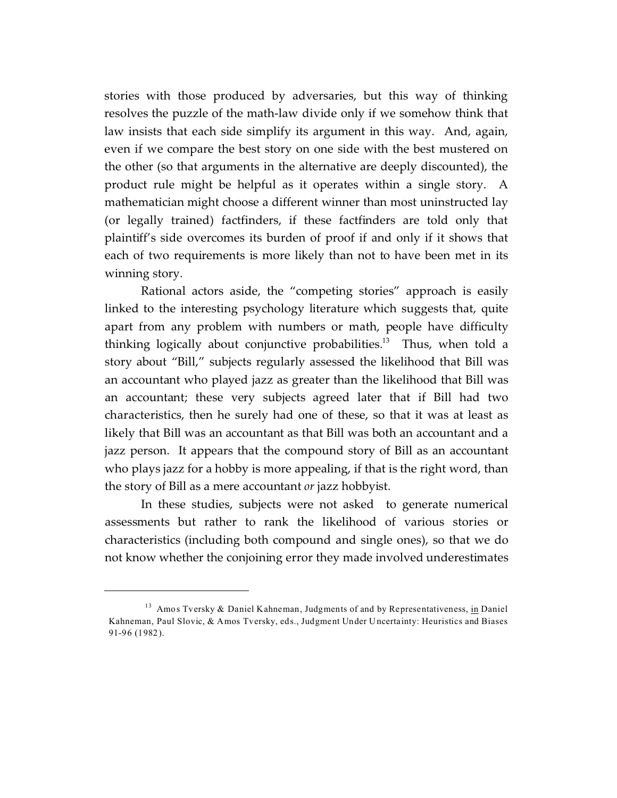stories with those produced by adversaries, but this way of thinking resolves the puzzle of the math-law divide only if we somehow think that law insists that each side simplify its argument in this way. And, again, even if we compare the best story on one side with the best mustered on the other (so that arguments in the alternative are deeply discounted), the product rule might be helpful as it operates within a single story. A mathematician might choose a different winner than most uninstructed lay (or legally trained) factfinders, if these factfinders are told only that plaintiff's side overcomes its burden of proof if and only if it shows that each of two requirements is more likely than not to have been met in its winning story.

Rational actors aside, the "competing stories" approach is easily linked to the interesting psychology literature which suggests that, quite apart from any problem with numbers or math, people have difficulty thinking logically about conjunctive probabilities.<sup>13</sup> Thus, when told a story about "Bill," subjects regularly assessed the likelihood that Bill was an accountant who played jazz as greater than the likelihood that Bill was an accountant; these very subjects agreed later that if Bill had two characteristics, then he surely had one of these, so that it was at least as likely that Bill was an accountant as that Bill was both an accountant and a jazz person. It appears that the compound story of Bill as an accountant who plays jazz for a hobby is more appealing, if that is the right word, than the story of Bill as a mere accountant *or* jazz hobbyist.

In these studies, subjects were not asked to generate numerical assessments but rather to rank the likelihood of various stories or characteristics (including both compound and single ones), so that we do not know whether the conjoining error they made involved underestimates

 $13$  Amos Tversky & Daniel Kahneman, Judgments of and by Representativeness, in Daniel Kahneman, Paul Slovic, & Amos Tversky, eds., Judgment Under Uncertainty: Heuristics and Biases 91-96 (1982).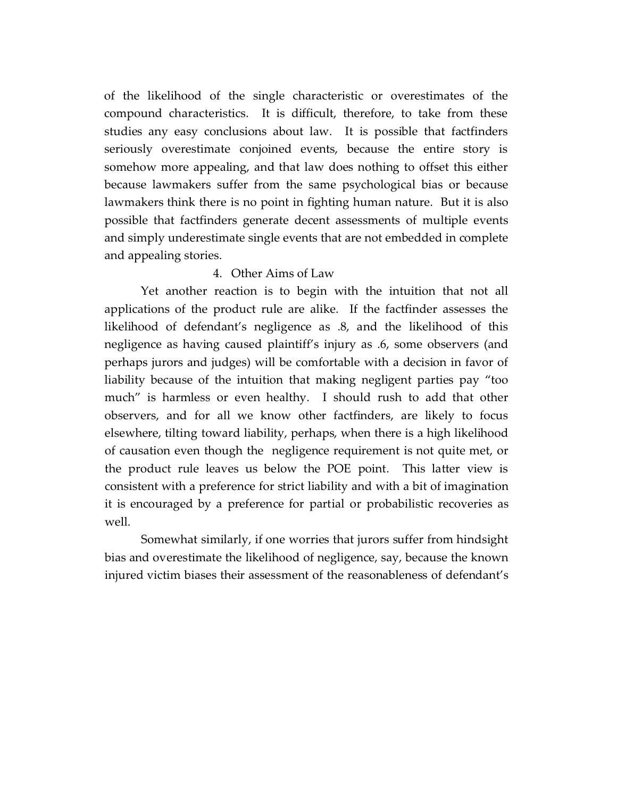of the likelihood of the single characteristic or overestimates of the compound characteristics. It is difficult, therefore, to take from these studies any easy conclusions about law. It is possible that factfinders seriously overestimate conjoined events, because the entire story is somehow more appealing, and that law does nothing to offset this either because lawmakers suffer from the same psychological bias or because lawmakers think there is no point in fighting human nature. But it is also possible that factfinders generate decent assessments of multiple events and simply underestimate single events that are not embedded in complete and appealing stories.

## 4. Other Aims of Law

Yet another reaction is to begin with the intuition that not all applications of the product rule are alike. If the factfinder assesses the likelihood of defendant's negligence as .8, and the likelihood of this negligence as having caused plaintiff's injury as .6, some observers (and perhaps jurors and judges) will be comfortable with a decision in favor of liability because of the intuition that making negligent parties pay "too much" is harmless or even healthy. I should rush to add that other observers, and for all we know other factfinders, are likely to focus elsewhere, tilting toward liability, perhaps, when there is a high likelihood of causation even though the negligence requirement is not quite met, or the product rule leaves us below the POE point. This latter view is consistent with a preference for strict liability and with a bit of imagination it is encouraged by a preference for partial or probabilistic recoveries as well.

Somewhat similarly, if one worries that jurors suffer from hindsight bias and overestimate the likelihood of negligence, say, because the known injured victim biases their assessment of the reasonableness of defendant's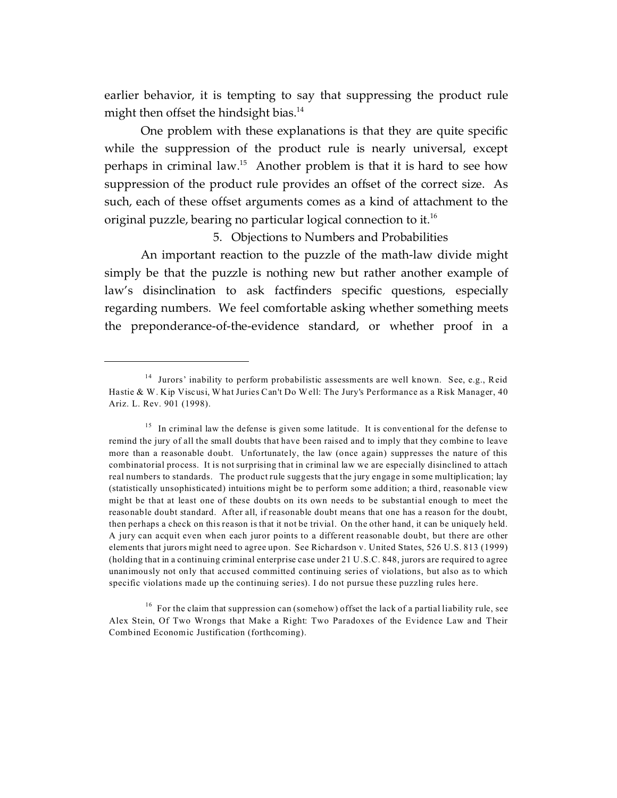earlier behavior, it is tempting to say that suppressing the product rule might then offset the hindsight bias.<sup>14</sup>

One problem with these explanations is that they are quite specific while the suppression of the product rule is nearly universal, except perhaps in criminal law.<sup>15</sup> Another problem is that it is hard to see how suppression of the product rule provides an offset of the correct size. As such, each of these offset arguments comes as a kind of attachment to the original puzzle, bearing no particular logical connection to it.<sup>16</sup>

5. Objections to Numbers and Probabilities

An important reaction to the puzzle of the math-law divide might simply be that the puzzle is nothing new but rather another example of law's disinclination to ask factfinders specific questions, especially regarding numbers. We feel comfortable asking whether something meets the preponderance-of-the-evidence standard, or whether proof in a

<sup>&</sup>lt;sup>14</sup> Jurors' inability to perform probabilistic assessments are well known. See, e.g., Reid Hastie & W. Kip Viscusi, What Juries Can't Do Well: The Jury's Performance as a Risk Manager, 40 Ariz. L. Rev. 901 (1998).

<sup>&</sup>lt;sup>15</sup> In criminal law the defense is given some latitude. It is conventional for the defense to remind the jury of all the small doubts that have been raised and to imply that they combine to leave more than a reasonable doubt. Unfortunately, the law (once again) suppresses the nature of this combinatorial process. It is not surprising that in criminal law we are especially disinclined to attach real numbers to standards. The product rule suggests that the jury engage in some multiplication; lay (statistically unsophisticated) intuitions might be to perform some addition; a third, reasonable view might be that at least one of these doubts on its own needs to be substantial enough to meet the reasonable doubt standard. After all, if reasonable doubt means that one has a reason for the doubt, then perhaps a check on this reason is that it not be trivial. On the other hand, it can be uniquely held. A jury can acquit even when each juror points to a different reasonable doubt, but there are other elements that jurors might need to agree upon. See Richardson v. United States, 526 U.S. 813 (1999) (holding that in a continuing criminal enterprise case under 21 U.S.C. 848, jurors are required to agree unanimously not only that accused committed continuing series of violations, but also as to which specific violations made up the continuing series). I do not pursue these puzzling rules here.

<sup>&</sup>lt;sup>16</sup> For the claim that suppression can (somehow) offset the lack of a partial liability rule, see Alex Stein, Of Two Wrongs that Make a Right: Two Paradoxes of the Evidence Law and Their Combined Economic Justification (forthcoming).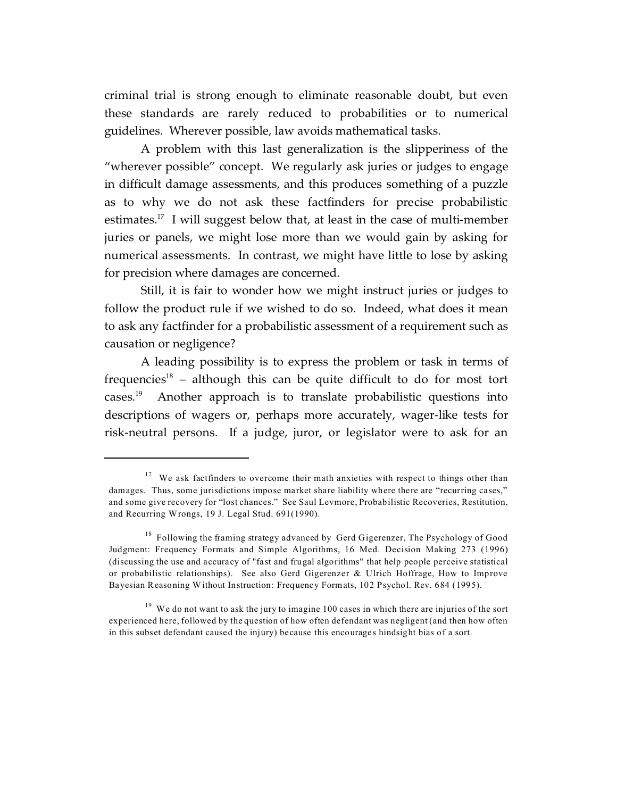criminal trial is strong enough to eliminate reasonable doubt, but even these standards are rarely reduced to probabilities or to numerical guidelines. Wherever possible, law avoids mathematical tasks.

A problem with this last generalization is the slipperiness of the "wherever possible" concept. We regularly ask juries or judges to engage in difficult damage assessments, and this produces something of a puzzle as to why we do not ask these factfinders for precise probabilistic estimates.<sup>17</sup> I will suggest below that, at least in the case of multi-member juries or panels, we might lose more than we would gain by asking for numerical assessments. In contrast, we might have little to lose by asking for precision where damages are concerned.

Still, it is fair to wonder how we might instruct juries or judges to follow the product rule if we wished to do so. Indeed, what does it mean to ask any factfinder for a probabilistic assessment of a requirement such as causation or negligence?

A leading possibility is to express the problem or task in terms of frequencies<sup>18</sup> – although this can be quite difficult to do for most tort cases.<sup>19</sup> Another approach is to translate probabilistic questions into descriptions of wagers or, perhaps more accurately, wager-like tests for risk-neutral persons. If a judge, juror, or legislator were to ask for an

<sup>&</sup>lt;sup>17</sup> We ask factfinders to overcome their math anxieties with respect to things other than damages. Thus, some jurisdictions impose market share liability where there are "recurring cases," and some give recovery for "lost chances." See Saul Levmore, Probabilistic Recoveries, Restitution, and Recurring Wrongs, 19 J. Legal Stud. 691(1990).

<sup>&</sup>lt;sup>18</sup> Following the framing strategy advanced by Gerd Gigerenzer, The Psychology of Good Judgment: Frequency Formats and Simple Algorithms, 16 Med. Decision Making 273 (1996) (discussing the use and accuracy of "fast and frugal algorithms" that help people perceive statistical or probabilistic relationships). See also Gerd Gigerenzer & Ulrich Hoffrage, How to Improve Bayesian Reasoning Without Instruction: Frequency Formats, 102 Psychol. Rev. 684 (1995).

 $19$  We do not want to ask the jury to imagine 100 cases in which there are injuries of the sort experienced here, followed by the question of how often defendant was negligent (and then how often in this subset defendant caused the injury) because this encourages hindsight bias of a sort.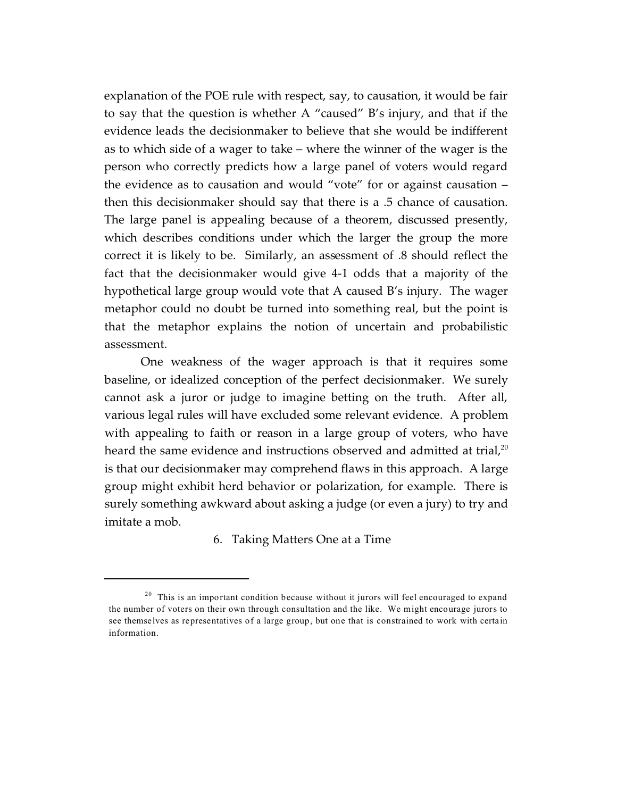explanation of the POE rule with respect, say, to causation, it would be fair to say that the question is whether A "caused" B's injury, and that if the evidence leads the decisionmaker to believe that she would be indifferent as to which side of a wager to take – where the winner of the wager is the person who correctly predicts how a large panel of voters would regard the evidence as to causation and would "vote" for or against causation – then this decisionmaker should say that there is a .5 chance of causation. The large panel is appealing because of a theorem, discussed presently, which describes conditions under which the larger the group the more correct it is likely to be. Similarly, an assessment of .8 should reflect the fact that the decisionmaker would give 4-1 odds that a majority of the hypothetical large group would vote that A caused B's injury. The wager metaphor could no doubt be turned into something real, but the point is that the metaphor explains the notion of uncertain and probabilistic assessment.

One weakness of the wager approach is that it requires some baseline, or idealized conception of the perfect decisionmaker. We surely cannot ask a juror or judge to imagine betting on the truth. After all, various legal rules will have excluded some relevant evidence. A problem with appealing to faith or reason in a large group of voters, who have heard the same evidence and instructions observed and admitted at trial,<sup>20</sup> is that our decisionmaker may comprehend flaws in this approach. A large group might exhibit herd behavior or polarization, for example. There is surely something awkward about asking a judge (or even a jury) to try and imitate a mob.

#### 6. Taking Matters One at a Time

 $20$  This is an important condition because without it jurors will feel encouraged to expand the number of voters on their own through consultation and the like. We might encourage jurors to see themselves as representatives of a large group, but one that is constrained to work with certain information.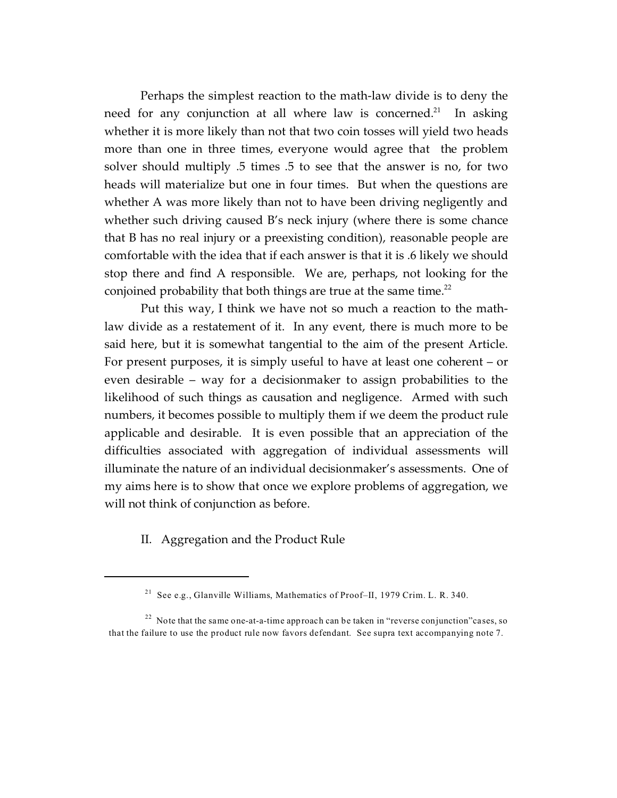Perhaps the simplest reaction to the math-law divide is to deny the need for any conjunction at all where law is concerned.<sup>21</sup> In asking whether it is more likely than not that two coin tosses will yield two heads more than one in three times, everyone would agree that the problem solver should multiply .5 times .5 to see that the answer is no, for two heads will materialize but one in four times. But when the questions are whether A was more likely than not to have been driving negligently and whether such driving caused B's neck injury (where there is some chance that B has no real injury or a preexisting condition), reasonable people are comfortable with the idea that if each answer is that it is .6 likely we should stop there and find A responsible. We are, perhaps, not looking for the conjoined probability that both things are true at the same time. $^{22}$ 

Put this way, I think we have not so much a reaction to the mathlaw divide as a restatement of it. In any event, there is much more to be said here, but it is somewhat tangential to the aim of the present Article. For present purposes, it is simply useful to have at least one coherent – or even desirable – way for a decisionmaker to assign probabilities to the likelihood of such things as causation and negligence. Armed with such numbers, it becomes possible to multiply them if we deem the product rule applicable and desirable. It is even possible that an appreciation of the difficulties associated with aggregation of individual assessments will illuminate the nature of an individual decisionmaker's assessments. One of my aims here is to show that once we explore problems of aggregation, we will not think of conjunction as before.

II. Aggregation and the Product Rule

<sup>&</sup>lt;sup>21</sup> See e.g., Glanville Williams, Mathematics of Proof–II, 1979 Crim. L. R. 340.

<sup>&</sup>lt;sup>22</sup> Note that the same one-at-a-time approach can be taken in "reverse conjunction"cases, so that the failure to use the product rule now favors defendant. See supra text accompanying note 7.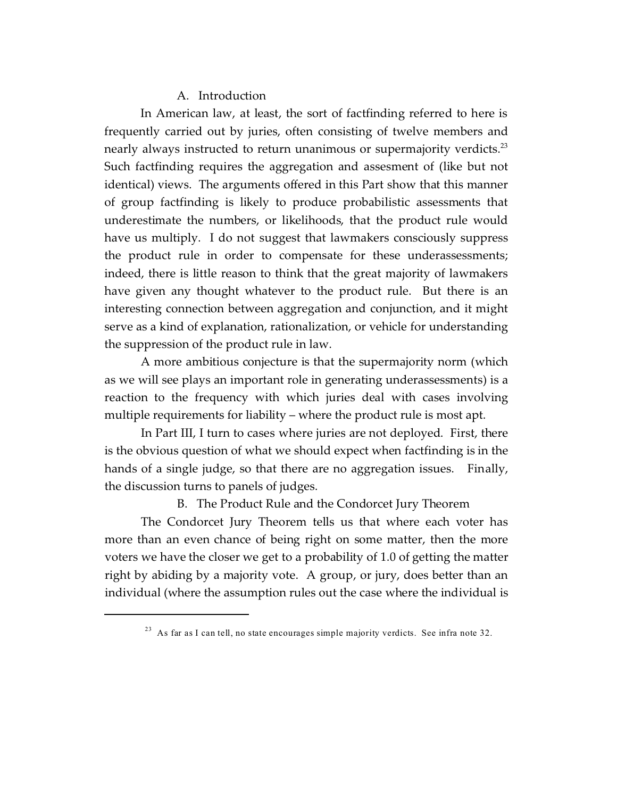#### A. Introduction

In American law, at least, the sort of factfinding referred to here is frequently carried out by juries, often consisting of twelve members and nearly always instructed to return unanimous or supermajority verdicts.<sup>23</sup> Such factfinding requires the aggregation and assesment of (like but not identical) views. The arguments offered in this Part show that this manner of group factfinding is likely to produce probabilistic assessments that underestimate the numbers, or likelihoods, that the product rule would have us multiply. I do not suggest that lawmakers consciously suppress the product rule in order to compensate for these underassessments; indeed, there is little reason to think that the great majority of lawmakers have given any thought whatever to the product rule. But there is an interesting connection between aggregation and conjunction, and it might serve as a kind of explanation, rationalization, or vehicle for understanding the suppression of the product rule in law.

A more ambitious conjecture is that the supermajority norm (which as we will see plays an important role in generating underassessments) is a reaction to the frequency with which juries deal with cases involving multiple requirements for liability – where the product rule is most apt.

In Part III, I turn to cases where juries are not deployed. First, there is the obvious question of what we should expect when factfinding is in the hands of a single judge, so that there are no aggregation issues. Finally, the discussion turns to panels of judges.

B. The Product Rule and the Condorcet Jury Theorem

The Condorcet Jury Theorem tells us that where each voter has more than an even chance of being right on some matter, then the more voters we have the closer we get to a probability of 1.0 of getting the matter right by abiding by a majority vote. A group, or jury, does better than an individual (where the assumption rules out the case where the individual is

<sup>&</sup>lt;sup>23</sup> As far as I can tell, no state encourages simple majority verdicts. See infra note 32.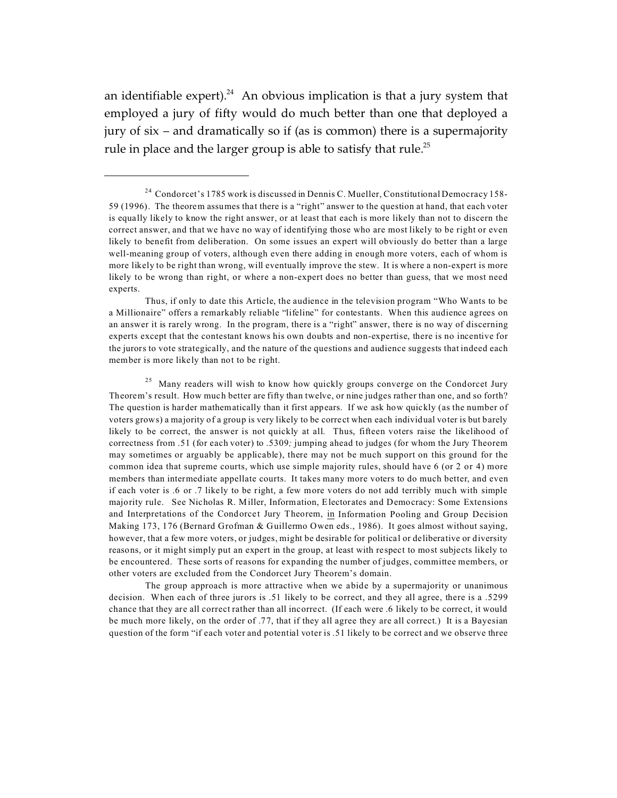an identifiable expert).<sup>24</sup> An obvious implication is that a jury system that employed a jury of fifty would do much better than one that deployed a jury of six – and dramatically so if (as is common) there is a supermajority rule in place and the larger group is able to satisfy that rule.<sup>25</sup>

<sup>25</sup> Many readers will wish to know how quickly groups converge on the Condorcet Jury Theorem's result. How much better are fifty than twelve, or nine judges rather than one, and so forth? The question is harder mathematically than it first appears. If we ask how quickly (as the number of voters grows) a majority of a group is very likely to be correct when each individual voter is but barely likely to be correct, the answer is not quickly at all. Thus, fifteen voters raise the likelihood of correctness from .51 (for each voter) to .5309*;* jumping ahead to judges (for whom the Jury Theorem may sometimes or arguably be applicable), there may not be much support on this ground for the common idea that supreme courts, which use simple majority rules, should have 6 (or 2 or 4) more members than intermediate appellate courts. It takes many more voters to do much better, and even if each voter is .6 or .7 likely to be right, a few more voters do not add terribly much with simple majority rule. See Nicholas R. Miller, Information, Electorates and Democracy: Some Extensions and Interpretations of the Condorcet Jury Theorem, in Information Pooling and Group Decision Making 173, 176 (Bernard Grofman & Guillermo Owen eds., 1986). It goes almost without saying, however, that a few more voters, or judges, might be desirable for political or deliberative or diversity reasons, or it might simply put an expert in the group, at least with respect to most subjects likely to be encountered. These sorts of reasons for expanding the number of judges, committee members, or other voters are excluded from the Condorcet Jury Theorem's domain.

The group approach is more attractive when we abide by a supermajority or unanimous decision. When each of three jurors is .51 likely to be correct, and they all agree, there is a .5299 chance that they are all correct rather than all incorrect. (If each were .6 likely to be correct, it would be much more likely, on the order of .77, that if they all agree they are all correct.) It is a Bayesian question of the form "if each voter and potential voter is .51 likely to be correct and we observe three

<sup>&</sup>lt;sup>24</sup> Condorcet's 1785 work is discussed in Dennis C. Mueller, Constitutional Democracy 158-59 (1996). The theorem assumes that there is a "right" answer to the question at hand, that each voter is equally likely to know the right answer, or at least that each is more likely than not to discern the correct answer, and that we have no way of identifying those who are most likely to be right or even likely to benefit from deliberation. On some issues an expert will obviously do better than a large well-meaning group of voters, although even there adding in enough more voters, each of whom is more likely to be right than wrong, will eventually improve the stew. It is where a non-expert is more likely to be wrong than right, or where a non-expert does no better than guess, that we most need experts.

Thus, if only to date this Article, the audience in the television program "Who Wants to be a Millionaire" offers a remarkably reliable "lifeline" for contestants. When this audience agrees on an answer it is rarely wrong. In the program, there is a "right" answer, there is no way of discerning experts except that the contestant knows his own doubts and non-expertise, there is no incentive for the jurors to vote strategically, and the nature of the questions and audience suggests that indeed each member is more likely than not to be right.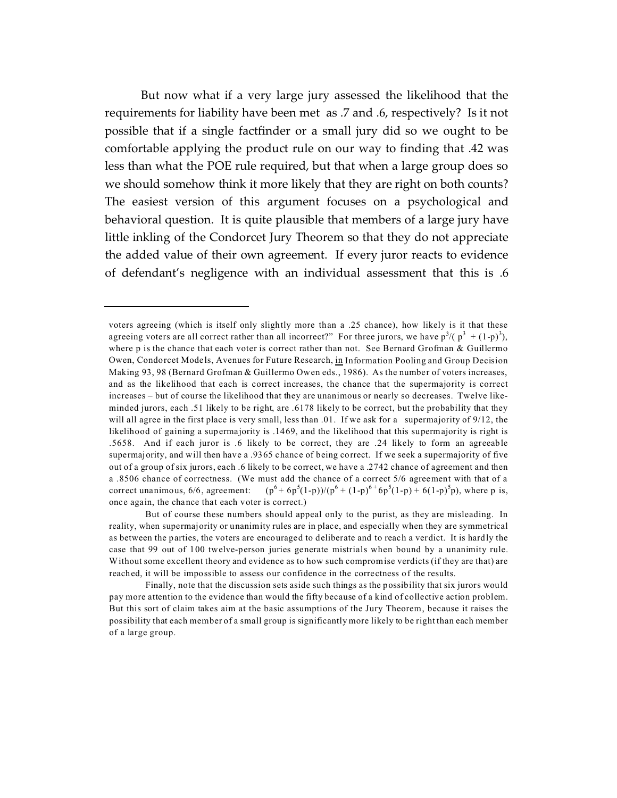But now what if a very large jury assessed the likelihood that the requirements for liability have been met as .7 and .6, respectively? Is it not possible that if a single factfinder or a small jury did so we ought to be comfortable applying the product rule on our way to finding that .42 was less than what the POE rule required, but that when a large group does so we should somehow think it more likely that they are right on both counts? The easiest version of this argument focuses on a psychological and behavioral question. It is quite plausible that members of a large jury have little inkling of the Condorcet Jury Theorem so that they do not appreciate the added value of their own agreement. If every juror reacts to evidence of defendant's negligence with an individual assessment that this is .6

voters agreeing (which is itself only slightly more than a .25 chance), how likely is it that these agreeing voters are all correct rather than all incorrect?" For three jurors, we have  $p^{3}/(p^{3} + (1-p)^{3})$ , where p is the chance that each voter is correct rather than not. See Bernard Grofman & Guillermo Owen, Condorcet Models, Avenues for Future Research, in Information Pooling and Group Decision Making 93, 98 (Bernard Grofman & Guillermo Owen eds., 1986). As the number of voters increases, and as the likelihood that each is correct increases, the chance that the supermajority is correct increases – but of course the likelihood that they are unanimous or nearly so decreases. Twelve likeminded jurors, each .51 likely to be right, are .6178 likely to be correct, but the probability that they will all agree in the first place is very small, less than .01. If we ask for a supermajority of 9/12, the likelihood of gaining a supermajority is .1469, and the likelihood that this supermajority is right is .5658. And if each juror is .6 likely to be correct, they are .24 likely to form an agreeable supermajority, and will then have a .9365 chance of being correct. If we seek a supermajority of five out of a group of six jurors, each .6 likely to be correct, we have a .2742 chance of agreement and then a .8506 chance of correctness. (We must add the chance of a correct 5/6 agreement with that of a correct unanimous, 6/6, agreement:  $(1-p)/(p^6 + (1-p)^6 + 6p^5(1-p) + 6(1-p)^5p)$ , where p is, once again, the chance that each voter is correct.)

But of course these numbers should appeal only to the purist, as they are misleading. In reality, when supermajority or unanimity rules are in place, and especially when they are symmetrical as between the parties, the voters are encouraged to deliberate and to reach a verdict. It is hardly the case that 99 out of 100 twelve-person juries generate mistrials when bound by a unanimity rule. Without some excellent theory and evidence as to how such compromise verdicts (if they are that) are reached, it will be impossible to assess our confidence in the correctness of the results.

Finally, note that the discussion sets aside such things as the possibility that six jurors would pay more attention to the evidence than would the fifty because of a kind of collective action problem. But this sort of claim takes aim at the basic assumptions of the Jury Theorem, because it raises the possibility that each member of a small group is significantly more likely to be right than each member of a large group.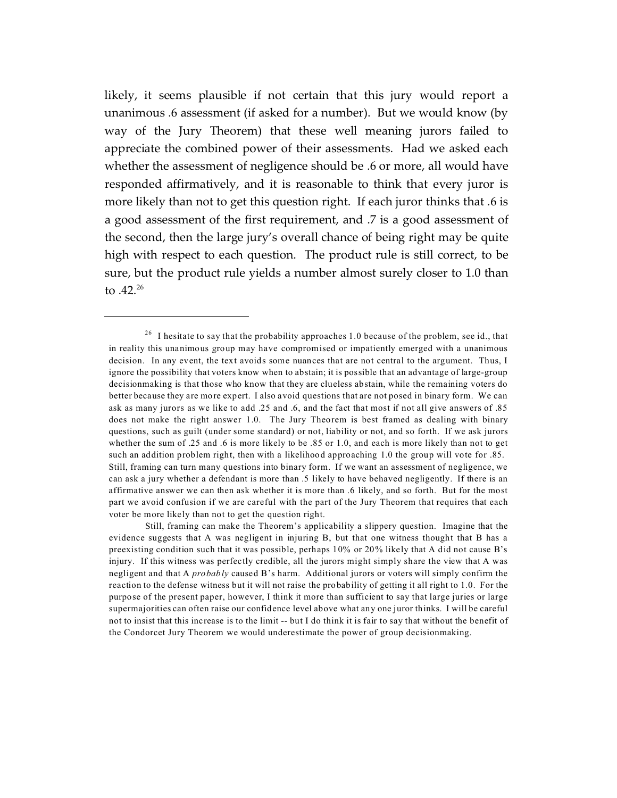likely, it seems plausible if not certain that this jury would report a unanimous .6 assessment (if asked for a number). But we would know (by way of the Jury Theorem) that these well meaning jurors failed to appreciate the combined power of their assessments. Had we asked each whether the assessment of negligence should be .6 or more, all would have responded affirmatively, and it is reasonable to think that every juror is more likely than not to get this question right. If each juror thinks that .6 is a good assessment of the first requirement, and .7 is a good assessment of the second, then the large jury's overall chance of being right may be quite high with respect to each question. The product rule is still correct, to be sure, but the product rule yields a number almost surely closer to 1.0 than to  $.42^{.26}$ 

 $26$  I hesitate to say that the probability approaches 1.0 because of the problem, see id., that in reality this unanimous group may have compromised or impatiently emerged with a unanimous decision. In any event, the text avoids some nuances that are not central to the argument. Thus, I ignore the possibility that voters know when to abstain; it is possible that an advantage of large-group decisionmaking is that those who know that they are clueless abstain, while the remaining voters do better because they are more expert. I also avoid questions that are not posed in binary form. We can ask as many jurors as we like to add .25 and .6, and the fact that most if not all give answers of .85 does not make the right answer 1.0. The Jury Theorem is best framed as dealing with binary questions, such as guilt (under some standard) or not, liability or not, and so forth. If we ask jurors whether the sum of .25 and .6 is more likely to be .85 or 1.0, and each is more likely than not to get such an addition problem right, then with a likelihood approaching 1.0 the group will vote for .85. Still, framing can turn many questions into binary form. If we want an assessment of negligence, we can ask a jury whether a defendant is more than .5 likely to have behaved negligently. If there is an affirmative answer we can then ask whether it is more than .6 likely, and so forth. But for the most part we avoid confusion if we are careful with the part of the Jury Theorem that requires that each voter be more likely than not to get the question right.

Still, framing can make the Theorem's applicability a slippery question. Imagine that the evidence suggests that A was negligent in injuring B, but that one witness thought that B has a preexisting condition such that it was possible, perhaps 10% or 20% likely that A did not cause B's injury. If this witness was perfectly credible, all the jurors might simply share the view that A was negligent and that A *probably* caused B's harm. Additional jurors or voters will simply confirm the reaction to the defense witness but it will not raise the probability of getting it all right to 1.0. For the purpose of the present paper, however, I think it more than sufficient to say that large juries or large supermajorities can often raise our confidence level above what any one juror thinks. I will be careful not to insist that this increase is to the limit -- but I do think it is fair to say that without the benefit of the Condorcet Jury Theorem we would underestimate the power of group decisionmaking.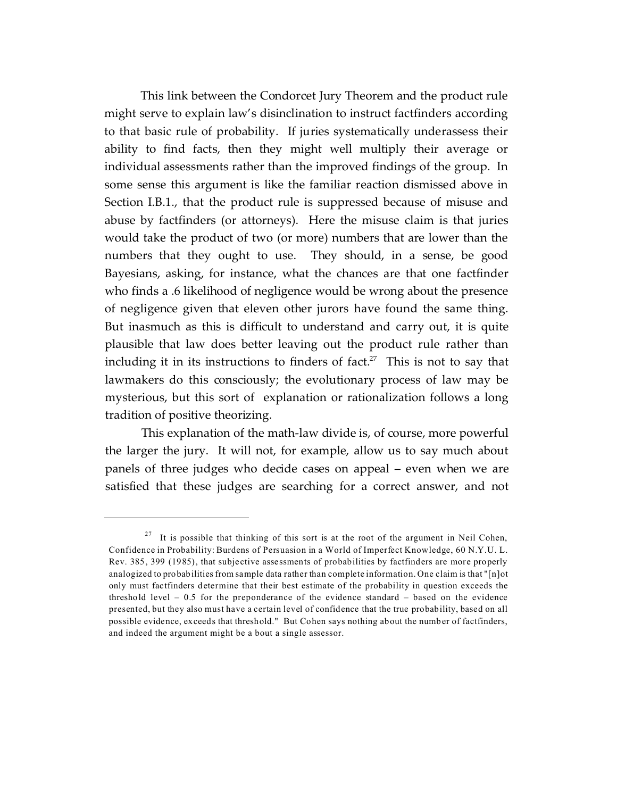This link between the Condorcet Jury Theorem and the product rule might serve to explain law's disinclination to instruct factfinders according to that basic rule of probability. If juries systematically underassess their ability to find facts, then they might well multiply their average or individual assessments rather than the improved findings of the group. In some sense this argument is like the familiar reaction dismissed above in Section I.B.1., that the product rule is suppressed because of misuse and abuse by factfinders (or attorneys). Here the misuse claim is that juries would take the product of two (or more) numbers that are lower than the numbers that they ought to use. They should, in a sense, be good Bayesians, asking, for instance, what the chances are that one factfinder who finds a .6 likelihood of negligence would be wrong about the presence of negligence given that eleven other jurors have found the same thing. But inasmuch as this is difficult to understand and carry out, it is quite plausible that law does better leaving out the product rule rather than including it in its instructions to finders of fact.<sup>27</sup> This is not to say that lawmakers do this consciously; the evolutionary process of law may be mysterious, but this sort of explanation or rationalization follows a long tradition of positive theorizing.

This explanation of the math-law divide is, of course, more powerful the larger the jury. It will not, for example, allow us to say much about panels of three judges who decide cases on appeal – even when we are satisfied that these judges are searching for a correct answer, and not

<sup>&</sup>lt;sup>27</sup> It is possible that thinking of this sort is at the root of the argument in Neil Cohen, Confidence in Probability: Burdens of Persuasion in a World of Imperfect Knowledge, 60 N.Y.U. L. Rev. 385, 399 (1985), that subjective assessments of probabilities by factfinders are more properly analogized to probabilities from sample data rather than complete information. One claim is that "[n]ot only must factfinders determine that their best estimate of the probability in question exceeds the threshold level – 0.5 for the preponderance of the evidence standard – based on the evidence presented, but they also must have a certain level of confidence that the true probability, based on all possible evidence, exceeds that threshold." But Cohen says nothing about the number of factfinders, and indeed the argument might be a bout a single assessor.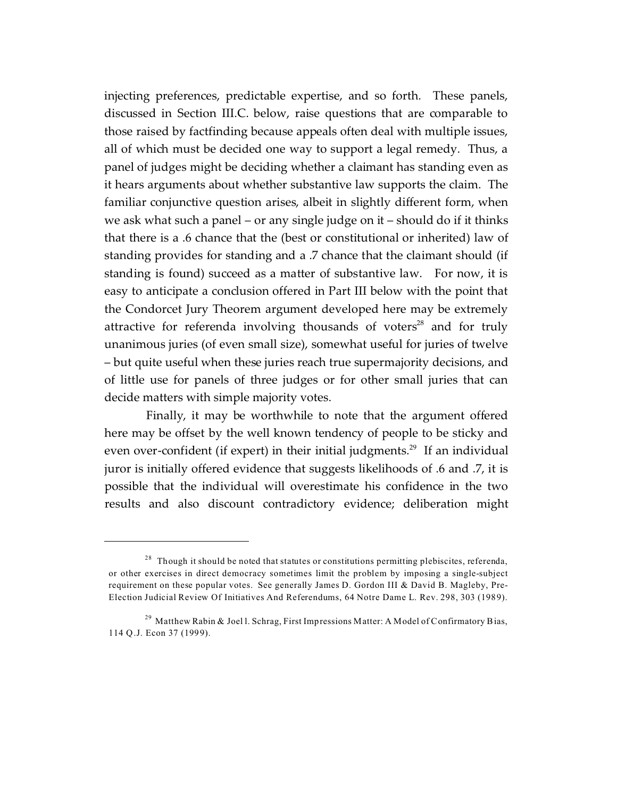injecting preferences, predictable expertise, and so forth. These panels, discussed in Section III.C. below, raise questions that are comparable to those raised by factfinding because appeals often deal with multiple issues, all of which must be decided one way to support a legal remedy. Thus, a panel of judges might be deciding whether a claimant has standing even as it hears arguments about whether substantive law supports the claim. The familiar conjunctive question arises, albeit in slightly different form, when we ask what such a panel – or any single judge on it – should do if it thinks that there is a .6 chance that the (best or constitutional or inherited) law of standing provides for standing and a .7 chance that the claimant should (if standing is found) succeed as a matter of substantive law. For now, it is easy to anticipate a conclusion offered in Part III below with the point that the Condorcet Jury Theorem argument developed here may be extremely attractive for referenda involving thousands of voters<sup>28</sup> and for truly unanimous juries (of even small size), somewhat useful for juries of twelve – but quite useful when these juries reach true supermajority decisions, and of little use for panels of three judges or for other small juries that can decide matters with simple majority votes.

 Finally, it may be worthwhile to note that the argument offered here may be offset by the well known tendency of people to be sticky and even over-confident (if expert) in their initial judgments.<sup>29</sup> If an individual juror is initially offered evidence that suggests likelihoods of .6 and .7, it is possible that the individual will overestimate his confidence in the two results and also discount contradictory evidence; deliberation might

 $2^8$  Though it should be noted that statutes or constitutions permitting plebiscites, referenda, or other exercises in direct democracy sometimes limit the problem by imposing a single-subject requirement on these popular votes. See generally James D. Gordon III & David B. Magleby, Pre-Election Judicial Review Of Initiatives And Referendums, 64 Notre Dame L. Rev. 298, 303 (1989).

<sup>&</sup>lt;sup>29</sup> Matthew Rabin & Joel l. Schrag, First Impressions Matter: A Model of Confirmatory Bias, 114 Q.J. Econ 37 (1999).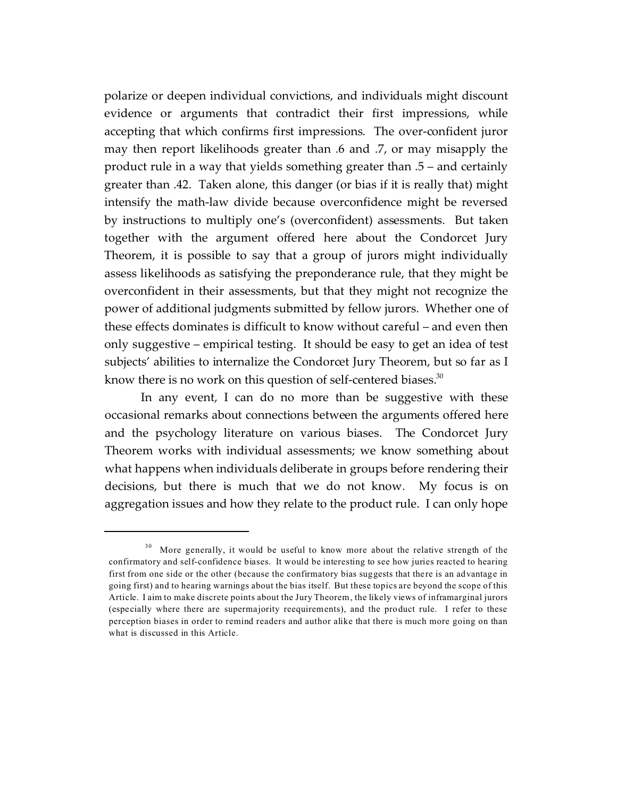polarize or deepen individual convictions, and individuals might discount evidence or arguments that contradict their first impressions, while accepting that which confirms first impressions. The over-confident juror may then report likelihoods greater than .6 and .7, or may misapply the product rule in a way that yields something greater than .5 – and certainly greater than .42. Taken alone, this danger (or bias if it is really that) might intensify the math-law divide because overconfidence might be reversed by instructions to multiply one's (overconfident) assessments. But taken together with the argument offered here about the Condorcet Jury Theorem, it is possible to say that a group of jurors might individually assess likelihoods as satisfying the preponderance rule, that they might be overconfident in their assessments, but that they might not recognize the power of additional judgments submitted by fellow jurors. Whether one of these effects dominates is difficult to know without careful – and even then only suggestive – empirical testing. It should be easy to get an idea of test subjects' abilities to internalize the Condorcet Jury Theorem, but so far as I know there is no work on this question of self-centered biases. $30$ 

In any event, I can do no more than be suggestive with these occasional remarks about connections between the arguments offered here and the psychology literature on various biases. The Condorcet Jury Theorem works with individual assessments; we know something about what happens when individuals deliberate in groups before rendering their decisions, but there is much that we do not know. My focus is on aggregation issues and how they relate to the product rule. I can only hope

<sup>&</sup>lt;sup>30</sup> More generally, it would be useful to know more about the relative strength of the confirmatory and self-confidence biases. It would be interesting to see how juries reacted to hearing first from one side or the other (because the confirmatory bias suggests that there is an advantage in going first) and to hearing warnings about the bias itself. But these topics are beyond the scope of this Article. I aim to make discrete points about the Jury Theorem, the likely views of inframarginal jurors (especially where there are supermajority reequirements), and the product rule. I refer to these perception biases in order to remind readers and author alike that there is much more going on than what is discussed in this Article.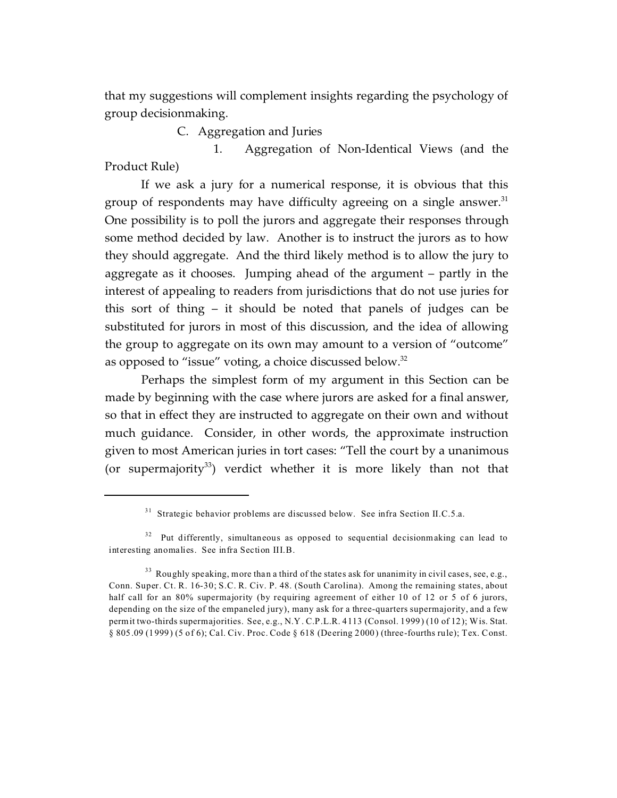that my suggestions will complement insights regarding the psychology of group decisionmaking.

C. Aggregation and Juries

1. Aggregation of Non-Identical Views (and the Product Rule)

If we ask a jury for a numerical response, it is obvious that this group of respondents may have difficulty agreeing on a single answer. $31$ One possibility is to poll the jurors and aggregate their responses through some method decided by law. Another is to instruct the jurors as to how they should aggregate. And the third likely method is to allow the jury to aggregate as it chooses. Jumping ahead of the argument – partly in the interest of appealing to readers from jurisdictions that do not use juries for this sort of thing – it should be noted that panels of judges can be substituted for jurors in most of this discussion, and the idea of allowing the group to aggregate on its own may amount to a version of "outcome" as opposed to "issue" voting, a choice discussed below.<sup>32</sup>

Perhaps the simplest form of my argument in this Section can be made by beginning with the case where jurors are asked for a final answer, so that in effect they are instructed to aggregate on their own and without much guidance. Consider, in other words, the approximate instruction given to most American juries in tort cases: "Tell the court by a unanimous (or supermajority<sup>33</sup>) verdict whether it is more likely than not that

<sup>31</sup> Strategic behavior problems are discussed below. See infra Section II.C.5.a.

<sup>&</sup>lt;sup>32</sup> Put differently, simultaneous as opposed to sequential decisionmaking can lead to interesting anomalies. See infra Section III.B.

<sup>&</sup>lt;sup>33</sup> Roughly speaking, more than a third of the states ask for unanimity in civil cases, see, e.g., Conn. Super. Ct. R. 16-30; S.C. R. Civ. P. 48. (South Carolina). Among the remaining states, about half call for an 80% supermajority (by requiring agreement of either 10 of 12 or 5 of 6 jurors, depending on the size of the empaneled jury), many ask for a three-quarters supermajority, and a few permit two-thirds supermajorities. See, e.g., N.Y. C.P.L.R. 4113 (Consol. 1999) (10 of 12); Wis. Stat. § 805.09 (1999) (5 of 6); Cal. Civ. Proc. Code § 618 (Deering 2000) (three-fourths rule); Tex. Const.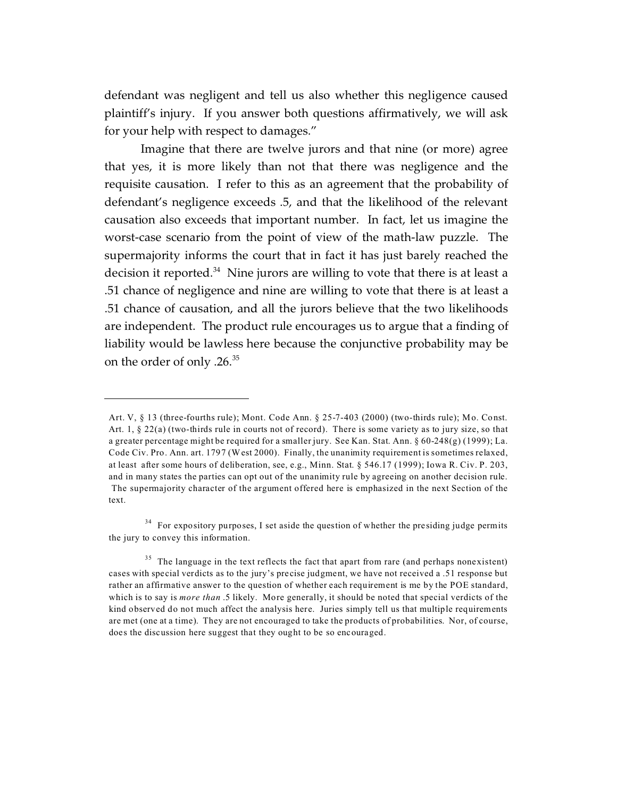defendant was negligent and tell us also whether this negligence caused plaintiff's injury. If you answer both questions affirmatively, we will ask for your help with respect to damages."

Imagine that there are twelve jurors and that nine (or more) agree that yes, it is more likely than not that there was negligence and the requisite causation. I refer to this as an agreement that the probability of defendant's negligence exceeds .5, and that the likelihood of the relevant causation also exceeds that important number. In fact, let us imagine the worst-case scenario from the point of view of the math-law puzzle. The supermajority informs the court that in fact it has just barely reached the decision it reported.<sup>34</sup> Nine jurors are willing to vote that there is at least a .51 chance of negligence and nine are willing to vote that there is at least a .51 chance of causation, and all the jurors believe that the two likelihoods are independent. The product rule encourages us to argue that a finding of liability would be lawless here because the conjunctive probability may be on the order of only  $.26^{35}$ 

<sup>34</sup> For expository purposes, I set aside the question of whether the presiding judge permits the jury to convey this information.

Art. V, § 13 (three-fourths rule); Mont. Code Ann. § 25-7-403 (2000) (two-thirds rule); Mo. Const. Art. 1, § 22(a) (two-thirds rule in courts not of record). There is some variety as to jury size, so that a greater percentage might be required for a smaller jury. See Kan. Stat. Ann. § 60-248(g) (1999); La. Code Civ. Pro. Ann. art. 1797 (West 2000). Finally, the unanimity requirement is sometimes relaxed, at least after some hours of deliberation, see, e.g., Minn. Stat. § 546.17 (1999); Iowa R. Civ. P. 203, and in many states the parties can opt out of the unanimity rule by agreeing on another decision rule. The supermajority character of the argument offered here is emphasized in the next Section of the text.

 $35$  The language in the text reflects the fact that apart from rare (and perhaps nonexistent) cases with special verdicts as to the jury's precise judgment, we have not received a .51 response but rather an affirmative answer to the question of whether each requirement is me by the POE standard, which is to say is *more than* .5 likely. More generally, it should be noted that special verdicts of the kind observed do not much affect the analysis here. Juries simply tell us that multiple requirements are met (one at a time). They are not encouraged to take the products of probabilities. Nor, of course, does the discussion here suggest that they ought to be so encouraged.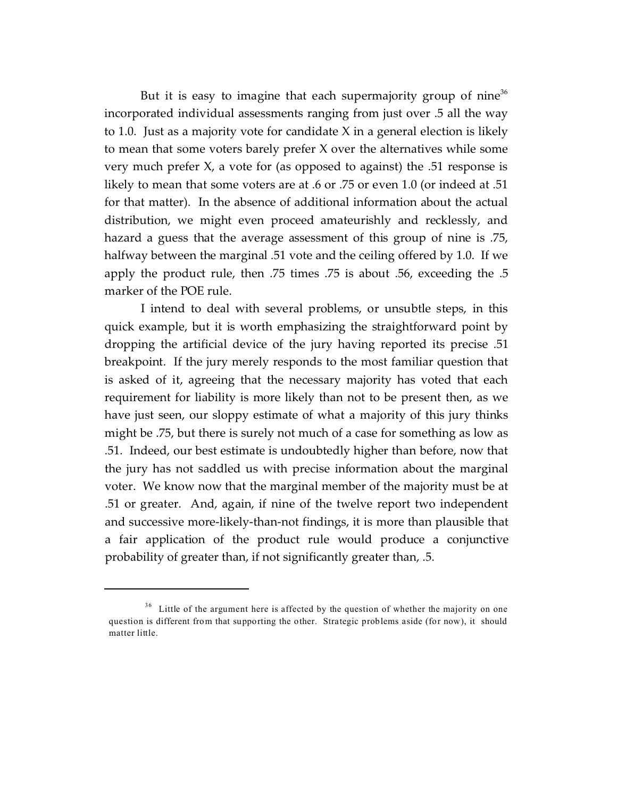But it is easy to imagine that each supermajority group of nine $^{36}$ incorporated individual assessments ranging from just over .5 all the way to 1.0. Just as a majority vote for candidate X in a general election is likely to mean that some voters barely prefer X over the alternatives while some very much prefer  $X$ , a vote for (as opposed to against) the  $.51$  response is likely to mean that some voters are at .6 or .75 or even 1.0 (or indeed at .51 for that matter). In the absence of additional information about the actual distribution, we might even proceed amateurishly and recklessly, and hazard a guess that the average assessment of this group of nine is .75, halfway between the marginal .51 vote and the ceiling offered by 1.0. If we apply the product rule, then .75 times .75 is about .56, exceeding the .5 marker of the POE rule.

I intend to deal with several problems, or unsubtle steps, in this quick example, but it is worth emphasizing the straightforward point by dropping the artificial device of the jury having reported its precise .51 breakpoint. If the jury merely responds to the most familiar question that is asked of it, agreeing that the necessary majority has voted that each requirement for liability is more likely than not to be present then, as we have just seen, our sloppy estimate of what a majority of this jury thinks might be .75, but there is surely not much of a case for something as low as .51. Indeed, our best estimate is undoubtedly higher than before, now that the jury has not saddled us with precise information about the marginal voter. We know now that the marginal member of the majority must be at .51 or greater. And, again, if nine of the twelve report two independent and successive more-likely-than-not findings, it is more than plausible that a fair application of the product rule would produce a conjunctive probability of greater than, if not significantly greater than, .5.

<sup>&</sup>lt;sup>36</sup> Little of the argument here is affected by the question of whether the majority on one question is different from that supporting the other. Strategic problems aside (for now), it should matter little.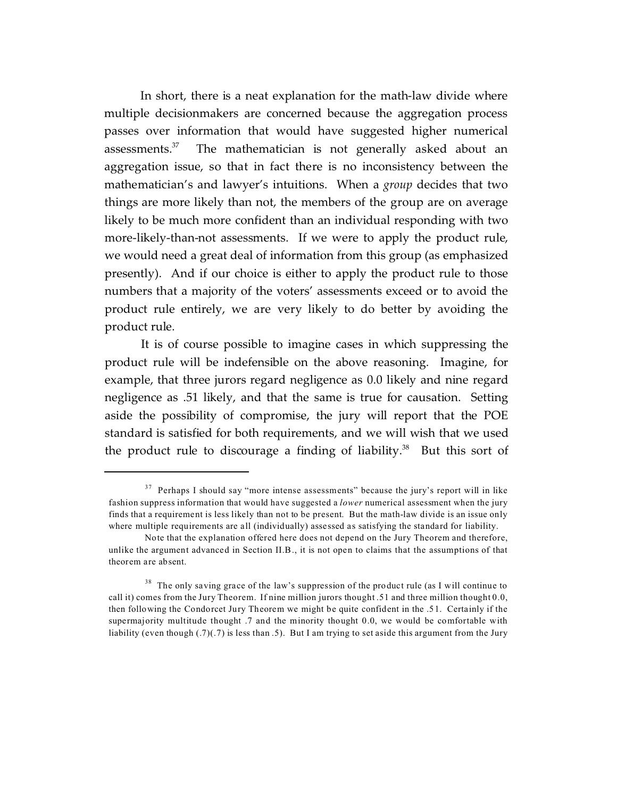In short, there is a neat explanation for the math-law divide where multiple decisionmakers are concerned because the aggregation process passes over information that would have suggested higher numerical assessments.<sup>37</sup> The mathematician is not generally asked about an aggregation issue, so that in fact there is no inconsistency between the mathematician's and lawyer's intuitions. When a *group* decides that two things are more likely than not, the members of the group are on average likely to be much more confident than an individual responding with two more-likely-than-not assessments. If we were to apply the product rule, we would need a great deal of information from this group (as emphasized presently). And if our choice is either to apply the product rule to those numbers that a majority of the voters' assessments exceed or to avoid the product rule entirely, we are very likely to do better by avoiding the product rule.

It is of course possible to imagine cases in which suppressing the product rule will be indefensible on the above reasoning. Imagine, for example, that three jurors regard negligence as 0.0 likely and nine regard negligence as .51 likely, and that the same is true for causation. Setting aside the possibility of compromise, the jury will report that the POE standard is satisfied for both requirements, and we will wish that we used the product rule to discourage a finding of liability.<sup>38</sup> But this sort of

<sup>&</sup>lt;sup>37</sup> Perhaps I should say "more intense assessments" because the jury's report will in like fashion suppress information that would have suggested a *lower* numerical assessment when the jury finds that a requirement is less likely than not to be present. But the math-law divide is an issue only where multiple requirements are all (individually) assessed as satisfying the standard for liability.

Note that the explanation offered here does not depend on the Jury Theorem and therefore, unlike the argument advanced in Section II.B., it is not open to claims that the assumptions of that theorem are absent.

<sup>&</sup>lt;sup>38</sup> The only saving grace of the law's suppression of the product rule (as I will continue to call it) comes from the Jury Theorem. If nine million jurors thought .51 and three million thought 0.0, then following the Condorcet Jury Theorem we might be quite confident in the .51. Certainly if the supermajority multitude thought .7 and the minority thought 0.0, we would be comfortable with liability (even though  $(.7)(.7)$  is less than .5). But I am trying to set aside this argument from the Jury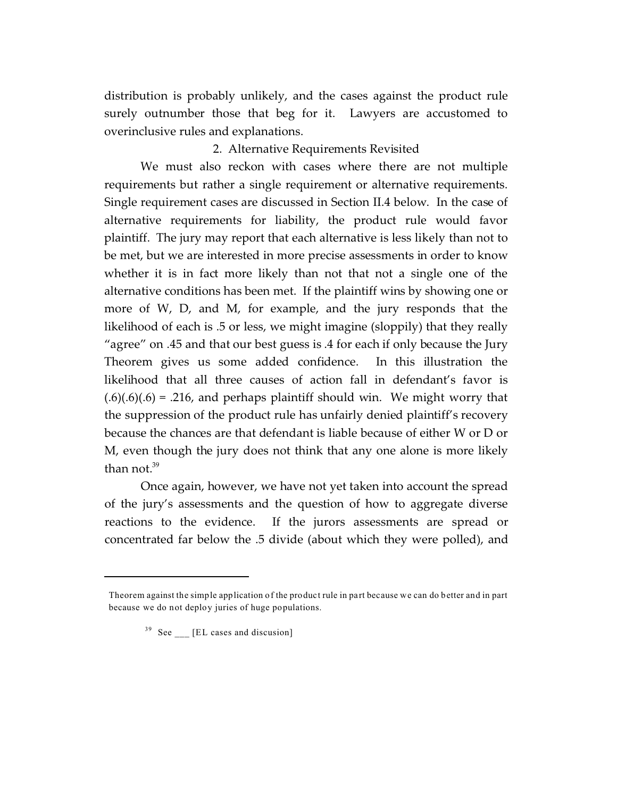distribution is probably unlikely, and the cases against the product rule surely outnumber those that beg for it. Lawyers are accustomed to overinclusive rules and explanations.

## 2. Alternative Requirements Revisited

We must also reckon with cases where there are not multiple requirements but rather a single requirement or alternative requirements. Single requirement cases are discussed in Section II.4 below. In the case of alternative requirements for liability, the product rule would favor plaintiff. The jury may report that each alternative is less likely than not to be met, but we are interested in more precise assessments in order to know whether it is in fact more likely than not that not a single one of the alternative conditions has been met. If the plaintiff wins by showing one or more of W, D, and M, for example, and the jury responds that the likelihood of each is .5 or less, we might imagine (sloppily) that they really "agree" on .45 and that our best guess is .4 for each if only because the Jury Theorem gives us some added confidence. In this illustration the likelihood that all three causes of action fall in defendant's favor is  $(.6)(.6)(.6) = .216$ , and perhaps plaintiff should win. We might worry that the suppression of the product rule has unfairly denied plaintiff's recovery because the chances are that defendant is liable because of either W or D or M, even though the jury does not think that any one alone is more likely than not. $39$ 

Once again, however, we have not yet taken into account the spread of the jury's assessments and the question of how to aggregate diverse reactions to the evidence. If the jurors assessments are spread or concentrated far below the .5 divide (about which they were polled), and

Theorem against the simple application of the product rule in part because we can do better and in part because we do not deploy juries of huge populations.

 $39$  See \_\_\_ [EL cases and discusion]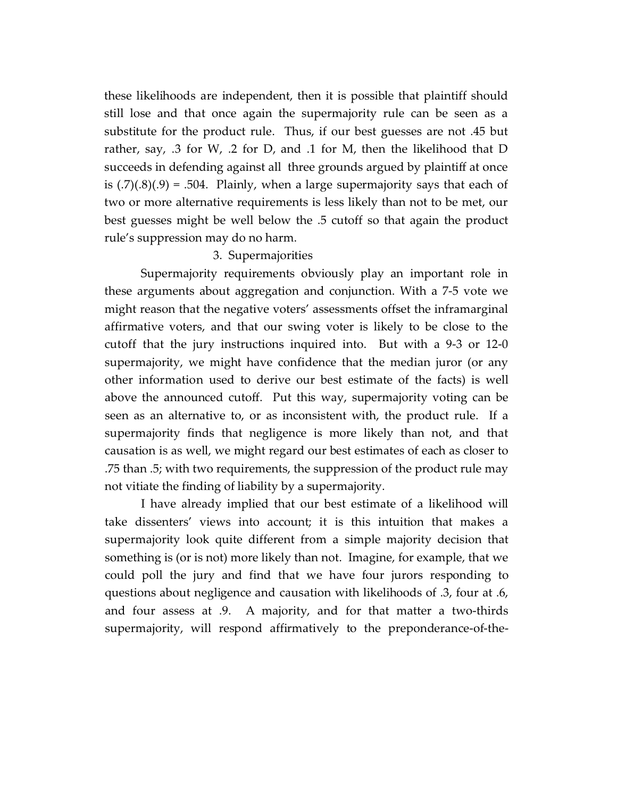these likelihoods are independent, then it is possible that plaintiff should still lose and that once again the supermajority rule can be seen as a substitute for the product rule. Thus, if our best guesses are not .45 but rather, say, .3 for W, .2 for D, and .1 for M, then the likelihood that D succeeds in defending against all three grounds argued by plaintiff at once is  $(0.7)(0.8)(0.9) = 0.504$ . Plainly, when a large supermajority says that each of two or more alternative requirements is less likely than not to be met, our best guesses might be well below the .5 cutoff so that again the product rule's suppression may do no harm.

#### 3. Supermajorities

Supermajority requirements obviously play an important role in these arguments about aggregation and conjunction. With a 7-5 vote we might reason that the negative voters' assessments offset the inframarginal affirmative voters, and that our swing voter is likely to be close to the cutoff that the jury instructions inquired into. But with a 9-3 or 12-0 supermajority, we might have confidence that the median juror (or any other information used to derive our best estimate of the facts) is well above the announced cutoff. Put this way, supermajority voting can be seen as an alternative to, or as inconsistent with, the product rule. If a supermajority finds that negligence is more likely than not, and that causation is as well, we might regard our best estimates of each as closer to .75 than .5; with two requirements, the suppression of the product rule may not vitiate the finding of liability by a supermajority.

I have already implied that our best estimate of a likelihood will take dissenters' views into account; it is this intuition that makes a supermajority look quite different from a simple majority decision that something is (or is not) more likely than not. Imagine, for example, that we could poll the jury and find that we have four jurors responding to questions about negligence and causation with likelihoods of .3, four at .6, and four assess at .9. A majority, and for that matter a two-thirds supermajority, will respond affirmatively to the preponderance-of-the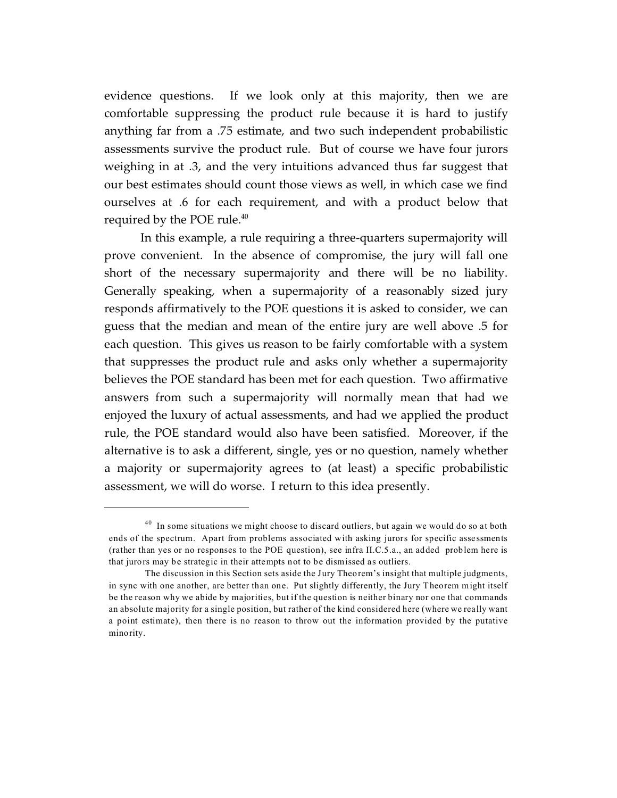evidence questions. If we look only at this majority, then we are comfortable suppressing the product rule because it is hard to justify anything far from a .75 estimate, and two such independent probabilistic assessments survive the product rule. But of course we have four jurors weighing in at .3, and the very intuitions advanced thus far suggest that our best estimates should count those views as well, in which case we find ourselves at .6 for each requirement, and with a product below that required by the POE rule.<sup>40</sup>

In this example, a rule requiring a three-quarters supermajority will prove convenient. In the absence of compromise, the jury will fall one short of the necessary supermajority and there will be no liability. Generally speaking, when a supermajority of a reasonably sized jury responds affirmatively to the POE questions it is asked to consider, we can guess that the median and mean of the entire jury are well above .5 for each question. This gives us reason to be fairly comfortable with a system that suppresses the product rule and asks only whether a supermajority believes the POE standard has been met for each question. Two affirmative answers from such a supermajority will normally mean that had we enjoyed the luxury of actual assessments, and had we applied the product rule, the POE standard would also have been satisfied. Moreover, if the alternative is to ask a different, single, yes or no question, namely whether a majority or supermajority agrees to (at least) a specific probabilistic assessment, we will do worse. I return to this idea presently.

<sup>&</sup>lt;sup>40</sup> In some situations we might choose to discard outliers, but again we would do so at both ends of the spectrum. Apart from problems associated with asking jurors for specific assessments (rather than yes or no responses to the POE question), see infra II.C.5.a., an added problem here is that jurors may be strategic in their attempts not to be dismissed as outliers.

The discussion in this Section sets aside the Jury Theorem's insight that multiple judgments, in sync with one another, are better than one. Put slightly differently, the Jury Theorem might itself be the reason why we abide by majorities, but if the question is neither binary nor one that commands an absolute majority for a single position, but rather of the kind considered here (where we really want a point estimate), then there is no reason to throw out the information provided by the putative minority.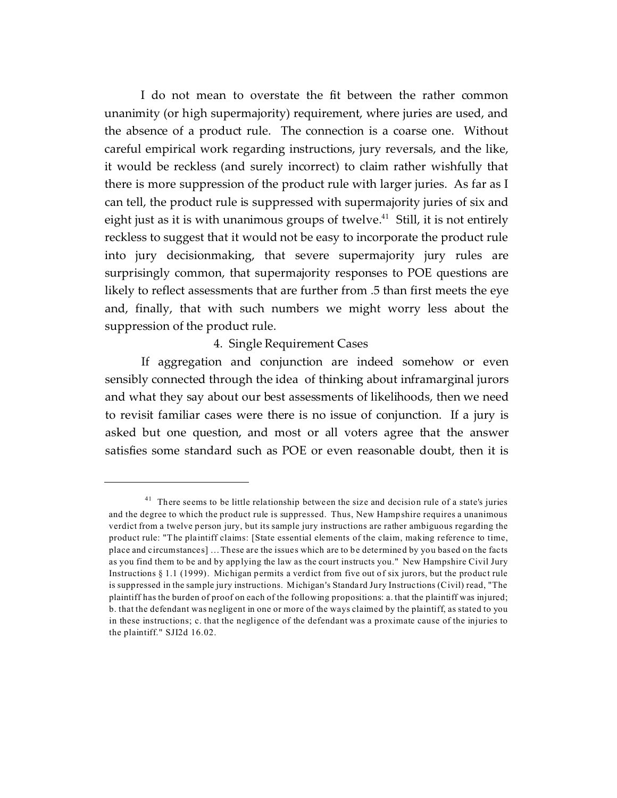I do not mean to overstate the fit between the rather common unanimity (or high supermajority) requirement, where juries are used, and the absence of a product rule. The connection is a coarse one. Without careful empirical work regarding instructions, jury reversals, and the like, it would be reckless (and surely incorrect) to claim rather wishfully that there is more suppression of the product rule with larger juries. As far as I can tell, the product rule is suppressed with supermajority juries of six and eight just as it is with unanimous groups of twelve.<sup>41</sup> Still, it is not entirely reckless to suggest that it would not be easy to incorporate the product rule into jury decisionmaking, that severe supermajority jury rules are surprisingly common, that supermajority responses to POE questions are likely to reflect assessments that are further from .5 than first meets the eye and, finally, that with such numbers we might worry less about the suppression of the product rule.

#### 4. Single Requirement Cases

If aggregation and conjunction are indeed somehow or even sensibly connected through the idea of thinking about inframarginal jurors and what they say about our best assessments of likelihoods, then we need to revisit familiar cases were there is no issue of conjunction. If a jury is asked but one question, and most or all voters agree that the answer satisfies some standard such as POE or even reasonable doubt, then it is

<sup>&</sup>lt;sup>41</sup> There seems to be little relationship between the size and decision rule of a state's juries and the degree to which the product rule is suppressed. Thus, New Hampshire requires a unanimous verdict from a twelve person jury, but its sample jury instructions are rather ambiguous regarding the product rule: "The plaintiff claims: [State essential elements of the claim, making reference to time, place and circumstances] …These are the issues which are to be determined by you based on the facts as you find them to be and by applying the law as the court instructs you." New Hampshire Civil Jury Instructions § 1.1 (1999). Michigan permits a verdict from five out of six jurors, but the product rule is suppressed in the sample jury instructions. Michigan's Standard Jury Instructions (Civil) read, "The plaintiff has the burden of proof on each of the following propositions: a. that the plaintiff was injured; b. that the defendant was negligent in one or more of the ways claimed by the plaintiff, as stated to you in these instructions; c. that the negligence of the defendant was a proximate cause of the injuries to the plaintiff." SJI2d 16.02.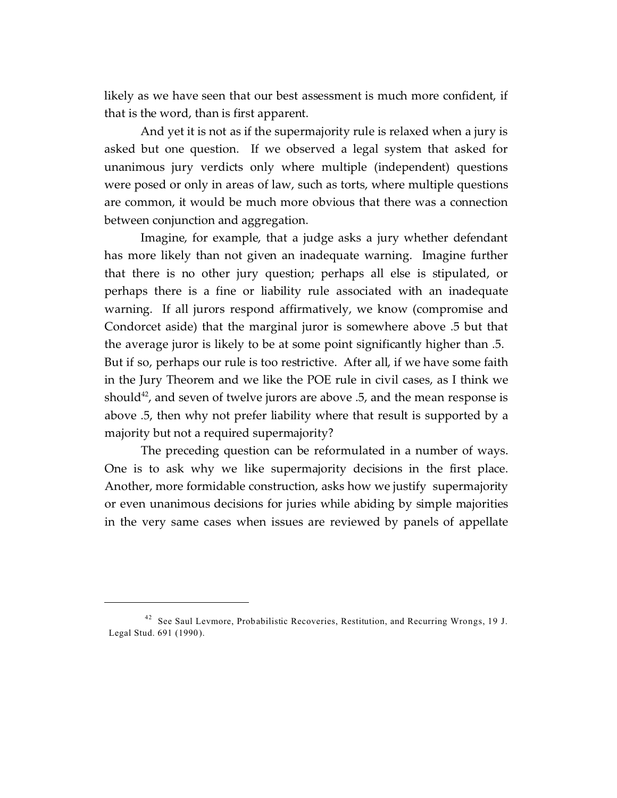likely as we have seen that our best assessment is much more confident, if that is the word, than is first apparent.

And yet it is not as if the supermajority rule is relaxed when a jury is asked but one question. If we observed a legal system that asked for unanimous jury verdicts only where multiple (independent) questions were posed or only in areas of law, such as torts, where multiple questions are common, it would be much more obvious that there was a connection between conjunction and aggregation.

Imagine, for example, that a judge asks a jury whether defendant has more likely than not given an inadequate warning. Imagine further that there is no other jury question; perhaps all else is stipulated, or perhaps there is a fine or liability rule associated with an inadequate warning. If all jurors respond affirmatively, we know (compromise and Condorcet aside) that the marginal juror is somewhere above .5 but that the average juror is likely to be at some point significantly higher than .5. But if so, perhaps our rule is too restrictive. After all, if we have some faith in the Jury Theorem and we like the POE rule in civil cases, as I think we should $^{42}$ , and seven of twelve jurors are above .5, and the mean response is above .5, then why not prefer liability where that result is supported by a majority but not a required supermajority?

The preceding question can be reformulated in a number of ways. One is to ask why we like supermajority decisions in the first place. Another, more formidable construction, asks how we justify supermajority or even unanimous decisions for juries while abiding by simple majorities in the very same cases when issues are reviewed by panels of appellate

<sup>42</sup> See Saul Levmore, Probabilistic Recoveries, Restitution, and Recurring Wrongs, 19 J. Legal Stud. 691 (1990).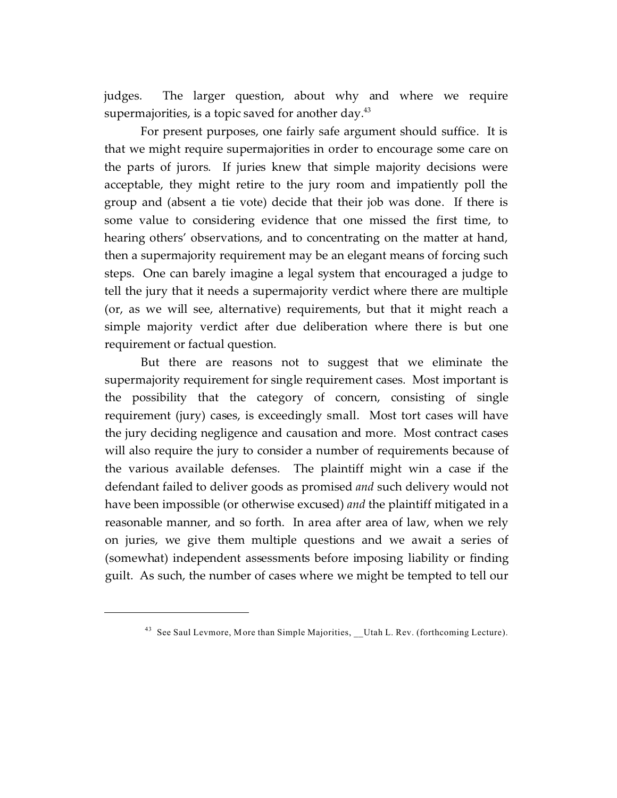judges. The larger question, about why and where we require supermajorities, is a topic saved for another day. $43$ 

For present purposes, one fairly safe argument should suffice. It is that we might require supermajorities in order to encourage some care on the parts of jurors. If juries knew that simple majority decisions were acceptable, they might retire to the jury room and impatiently poll the group and (absent a tie vote) decide that their job was done. If there is some value to considering evidence that one missed the first time, to hearing others' observations, and to concentrating on the matter at hand, then a supermajority requirement may be an elegant means of forcing such steps. One can barely imagine a legal system that encouraged a judge to tell the jury that it needs a supermajority verdict where there are multiple (or, as we will see, alternative) requirements, but that it might reach a simple majority verdict after due deliberation where there is but one requirement or factual question.

But there are reasons not to suggest that we eliminate the supermajority requirement for single requirement cases. Most important is the possibility that the category of concern, consisting of single requirement (jury) cases, is exceedingly small. Most tort cases will have the jury deciding negligence and causation and more. Most contract cases will also require the jury to consider a number of requirements because of the various available defenses. The plaintiff might win a case if the defendant failed to deliver goods as promised *and* such delivery would not have been impossible (or otherwise excused) *and* the plaintiff mitigated in a reasonable manner, and so forth. In area after area of law, when we rely on juries, we give them multiple questions and we await a series of (somewhat) independent assessments before imposing liability or finding guilt. As such, the number of cases where we might be tempted to tell our

<sup>&</sup>lt;sup>43</sup> See Saul Levmore, More than Simple Majorities, \_\_Utah L. Rev. (forthcoming Lecture).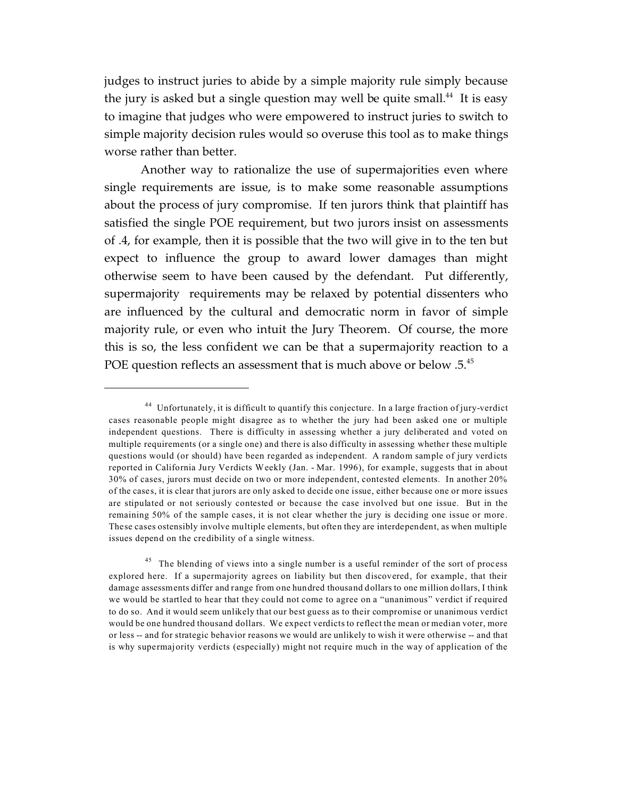judges to instruct juries to abide by a simple majority rule simply because the jury is asked but a single question may well be quite small.<sup>44</sup> It is easy to imagine that judges who were empowered to instruct juries to switch to simple majority decision rules would so overuse this tool as to make things worse rather than better.

Another way to rationalize the use of supermajorities even where single requirements are issue, is to make some reasonable assumptions about the process of jury compromise. If ten jurors think that plaintiff has satisfied the single POE requirement, but two jurors insist on assessments of .4, for example, then it is possible that the two will give in to the ten but expect to influence the group to award lower damages than might otherwise seem to have been caused by the defendant. Put differently, supermajority requirements may be relaxed by potential dissenters who are influenced by the cultural and democratic norm in favor of simple majority rule, or even who intuit the Jury Theorem. Of course, the more this is so, the less confident we can be that a supermajority reaction to a POE question reflects an assessment that is much above or below .5.<sup>45</sup>

<sup>45</sup> The blending of views into a single number is a useful reminder of the sort of process explored here. If a supermajority agrees on liability but then discovered, for example, that their damage assessments differ and range from one hundred thousand dollars to one million dollars, I think we would be startled to hear that they could not come to agree on a "unanimous" verdict if required to do so. And it would seem unlikely that our best guess as to their compromise or unanimous verdict would be one hundred thousand dollars. We expect verdicts to reflect the mean or median voter, more or less -- and for strategic behavior reasons we would are unlikely to wish it were otherwise -- and that is why supermajority verdicts (especially) might not require much in the way of application of the

<sup>&</sup>lt;sup>44</sup> Unfortunately, it is difficult to quantify this conjecture. In a large fraction of jury-verdict cases reasonable people might disagree as to whether the jury had been asked one or multiple independent questions. There is difficulty in assessing whether a jury deliberated and voted on multiple requirements (or a single one) and there is also difficulty in assessing whether these multiple questions would (or should) have been regarded as independent. A random sample of jury verdicts reported in California Jury Verdicts Weekly (Jan. - Mar. 1996), for example, suggests that in about 30% of cases, jurors must decide on two or more independent, contested elements. In another 20% of the cases, it is clear that jurors are only asked to decide one issue, either because one or more issues are stipulated or not seriously contested or because the case involved but one issue. But in the remaining 50% of the sample cases, it is not clear whether the jury is deciding one issue or more. These cases ostensibly involve multiple elements, but often they are interdependent, as when multiple issues depend on the credibility of a single witness.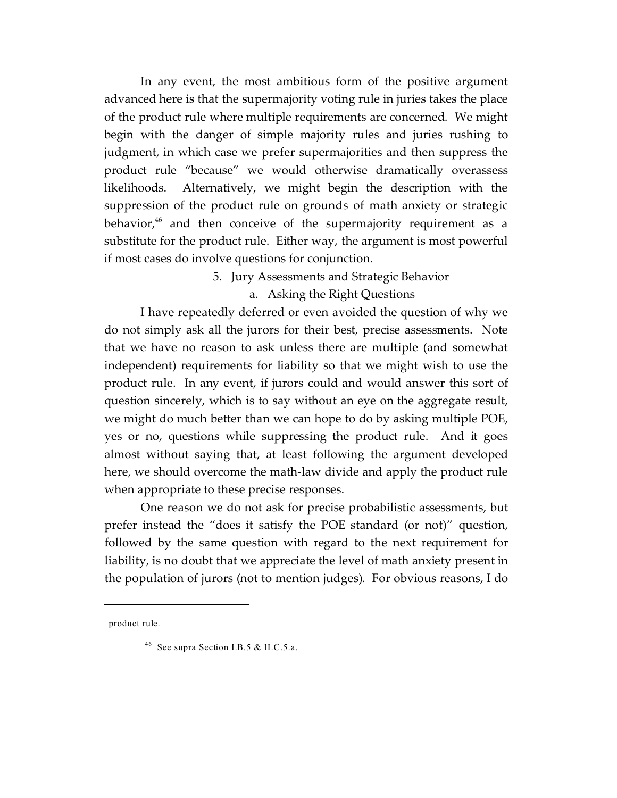In any event, the most ambitious form of the positive argument advanced here is that the supermajority voting rule in juries takes the place of the product rule where multiple requirements are concerned. We might begin with the danger of simple majority rules and juries rushing to judgment, in which case we prefer supermajorities and then suppress the product rule "because" we would otherwise dramatically overassess likelihoods. Alternatively, we might begin the description with the suppression of the product rule on grounds of math anxiety or strategic behavior, $46$  and then conceive of the supermajority requirement as a substitute for the product rule. Either way, the argument is most powerful if most cases do involve questions for conjunction.

#### 5. Jury Assessments and Strategic Behavior

#### a. Asking the Right Questions

I have repeatedly deferred or even avoided the question of why we do not simply ask all the jurors for their best, precise assessments. Note that we have no reason to ask unless there are multiple (and somewhat independent) requirements for liability so that we might wish to use the product rule. In any event, if jurors could and would answer this sort of question sincerely, which is to say without an eye on the aggregate result, we might do much better than we can hope to do by asking multiple POE, yes or no, questions while suppressing the product rule. And it goes almost without saying that, at least following the argument developed here, we should overcome the math-law divide and apply the product rule when appropriate to these precise responses.

One reason we do not ask for precise probabilistic assessments, but prefer instead the "does it satisfy the POE standard (or not)" question, followed by the same question with regard to the next requirement for liability, is no doubt that we appreciate the level of math anxiety present in the population of jurors (not to mention judges). For obvious reasons, I do

product rule.

<sup>46</sup> See supra Section I.B.5 & II.C.5.a.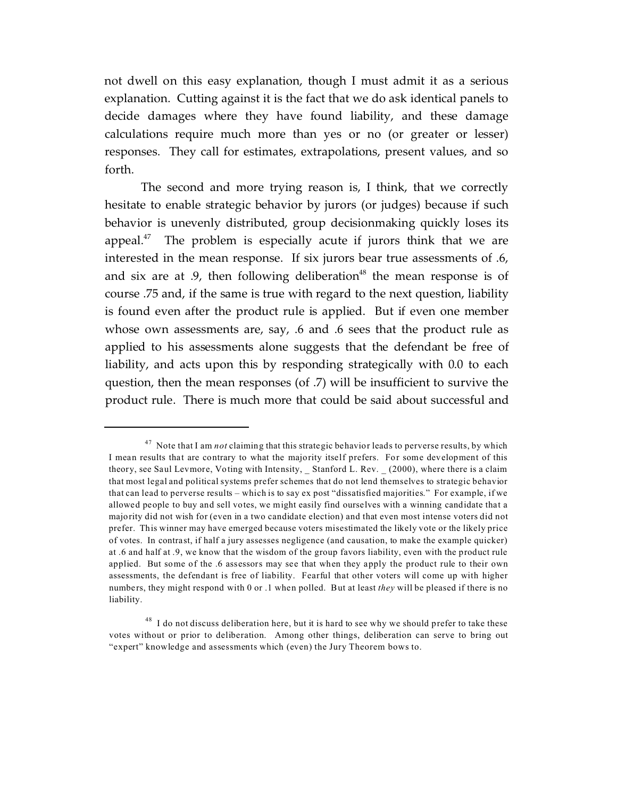not dwell on this easy explanation, though I must admit it as a serious explanation. Cutting against it is the fact that we do ask identical panels to decide damages where they have found liability, and these damage calculations require much more than yes or no (or greater or lesser) responses. They call for estimates, extrapolations, present values, and so forth.

The second and more trying reason is, I think, that we correctly hesitate to enable strategic behavior by jurors (or judges) because if such behavior is unevenly distributed, group decisionmaking quickly loses its appeal. $47$  The problem is especially acute if jurors think that we are interested in the mean response. If six jurors bear true assessments of .6, and six are at  $.9$ , then following deliberation<sup>48</sup> the mean response is of course .75 and, if the same is true with regard to the next question, liability is found even after the product rule is applied. But if even one member whose own assessments are, say, .6 and .6 sees that the product rule as applied to his assessments alone suggests that the defendant be free of liability, and acts upon this by responding strategically with 0.0 to each question, then the mean responses (of .7) will be insufficient to survive the product rule. There is much more that could be said about successful and

<sup>47</sup> Note that I am *not* claiming that this strategic behavior leads to perverse results, by which I mean results that are contrary to what the majority itself prefers. For some development of this theory, see Saul Levmore, Voting with Intensity, Stanford L. Rev. (2000), where there is a claim that most legal and political systems prefer schemes that do not lend themselves to strategic behavior that can lead to perverse results – which is to say ex post "dissatisfied majorities." For example, if we allowed people to buy and sell votes, we might easily find ourselves with a winning candidate that a majority did not wish for (even in a two candidate election) and that even most intense voters did not prefer. This winner may have emerged because voters misestimated the likely vote or the likely price of votes. In contrast, if half a jury assesses negligence (and causation, to make the example quicker) at .6 and half at .9, we know that the wisdom of the group favors liability, even with the product rule applied. But some of the .6 assessors may see that when they apply the product rule to their own assessments, the defendant is free of liability. Fearful that other voters will come up with higher numbers, they might respond with 0 or .1 when polled. But at least *they* will be pleased if there is no liability.

 $48$  I do not discuss deliberation here, but it is hard to see why we should prefer to take these votes without or prior to deliberation. Among other things, deliberation can serve to bring out "expert" knowledge and assessments which (even) the Jury Theorem bows to.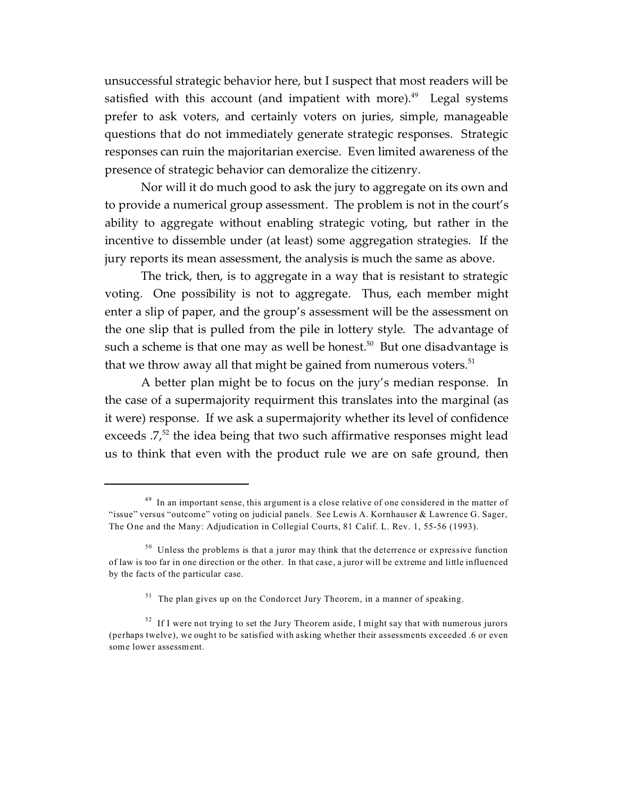unsuccessful strategic behavior here, but I suspect that most readers will be satisfied with this account (and impatient with more).<sup>49</sup> Legal systems prefer to ask voters, and certainly voters on juries, simple, manageable questions that do not immediately generate strategic responses. Strategic responses can ruin the majoritarian exercise. Even limited awareness of the presence of strategic behavior can demoralize the citizenry.

Nor will it do much good to ask the jury to aggregate on its own and to provide a numerical group assessment. The problem is not in the court's ability to aggregate without enabling strategic voting, but rather in the incentive to dissemble under (at least) some aggregation strategies. If the jury reports its mean assessment, the analysis is much the same as above.

The trick, then, is to aggregate in a way that is resistant to strategic voting. One possibility is not to aggregate. Thus, each member might enter a slip of paper, and the group's assessment will be the assessment on the one slip that is pulled from the pile in lottery style. The advantage of such a scheme is that one may as well be honest.<sup>50</sup> But one disadvantage is that we throw away all that might be gained from numerous voters.<sup>51</sup>

A better plan might be to focus on the jury's median response. In the case of a supermajority requirment this translates into the marginal (as it were) response. If we ask a supermajority whether its level of confidence exceeds .7,<sup>52</sup> the idea being that two such affirmative responses might lead us to think that even with the product rule we are on safe ground, then

 $^{49}$  In an important sense, this argument is a close relative of one considered in the matter of "issue" versus "outcome" voting on judicial panels. See Lewis A. Kornhauser & Lawrence G. Sager, The One and the Many: Adjudication in Collegial Courts, 81 Calif. L. Rev. 1, 55-56 (1993).

<sup>&</sup>lt;sup>50</sup> Unless the problems is that a juror may think that the deterrence or expressive function of law is too far in one direction or the other. In that case, a juror will be extreme and little influenced by the facts of the particular case.

<sup>&</sup>lt;sup>51</sup> The plan gives up on the Condorcet Jury Theorem, in a manner of speaking.

 $52$  If I were not trying to set the Jury Theorem aside, I might say that with numerous jurors (perhaps twelve), we ought to be satisfied with asking whether their assessments exceeded .6 or even some lower assessment.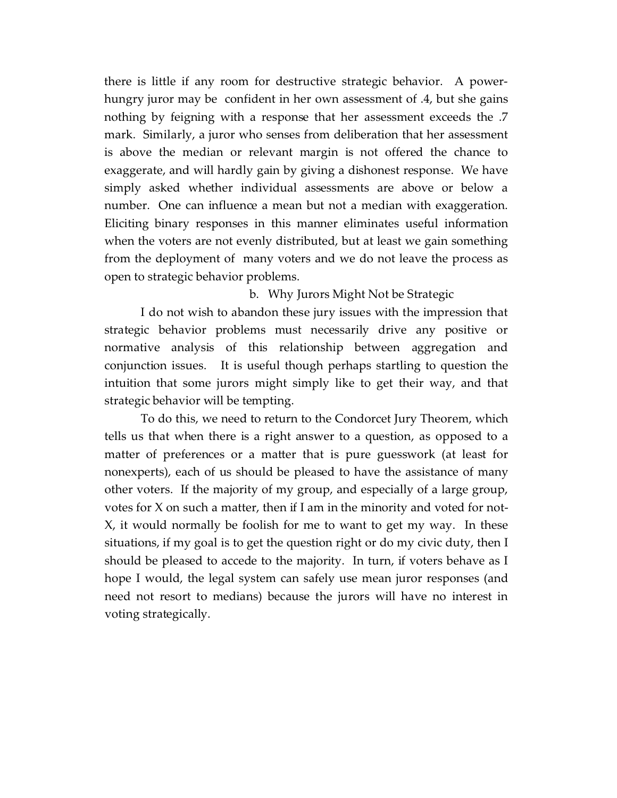there is little if any room for destructive strategic behavior. A powerhungry juror may be confident in her own assessment of .4, but she gains nothing by feigning with a response that her assessment exceeds the .7 mark. Similarly, a juror who senses from deliberation that her assessment is above the median or relevant margin is not offered the chance to exaggerate, and will hardly gain by giving a dishonest response. We have simply asked whether individual assessments are above or below a number. One can influence a mean but not a median with exaggeration. Eliciting binary responses in this manner eliminates useful information when the voters are not evenly distributed, but at least we gain something from the deployment of many voters and we do not leave the process as open to strategic behavior problems.

## b. Why Jurors Might Not be Strategic

I do not wish to abandon these jury issues with the impression that strategic behavior problems must necessarily drive any positive or normative analysis of this relationship between aggregation and conjunction issues. It is useful though perhaps startling to question the intuition that some jurors might simply like to get their way, and that strategic behavior will be tempting.

To do this, we need to return to the Condorcet Jury Theorem, which tells us that when there is a right answer to a question, as opposed to a matter of preferences or a matter that is pure guesswork (at least for nonexperts), each of us should be pleased to have the assistance of many other voters. If the majority of my group, and especially of a large group, votes for X on such a matter, then if I am in the minority and voted for not-X, it would normally be foolish for me to want to get my way. In these situations, if my goal is to get the question right or do my civic duty, then I should be pleased to accede to the majority. In turn, if voters behave as I hope I would, the legal system can safely use mean juror responses (and need not resort to medians) because the jurors will have no interest in voting strategically.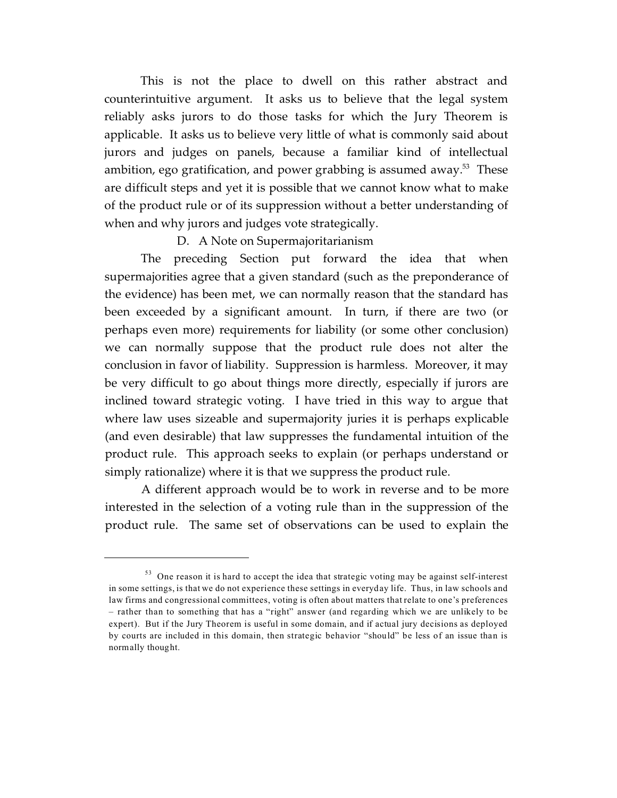This is not the place to dwell on this rather abstract and counterintuitive argument. It asks us to believe that the legal system reliably asks jurors to do those tasks for which the Jury Theorem is applicable. It asks us to believe very little of what is commonly said about jurors and judges on panels, because a familiar kind of intellectual ambition, ego gratification, and power grabbing is assumed away.<sup>53</sup> These are difficult steps and yet it is possible that we cannot know what to make of the product rule or of its suppression without a better understanding of when and why jurors and judges vote strategically.

D. A Note on Supermajoritarianism

The preceding Section put forward the idea that when supermajorities agree that a given standard (such as the preponderance of the evidence) has been met, we can normally reason that the standard has been exceeded by a significant amount. In turn, if there are two (or perhaps even more) requirements for liability (or some other conclusion) we can normally suppose that the product rule does not alter the conclusion in favor of liability. Suppression is harmless. Moreover, it may be very difficult to go about things more directly, especially if jurors are inclined toward strategic voting. I have tried in this way to argue that where law uses sizeable and supermajority juries it is perhaps explicable (and even desirable) that law suppresses the fundamental intuition of the product rule. This approach seeks to explain (or perhaps understand or simply rationalize) where it is that we suppress the product rule.

A different approach would be to work in reverse and to be more interested in the selection of a voting rule than in the suppression of the product rule. The same set of observations can be used to explain the

<sup>&</sup>lt;sup>53</sup> One reason it is hard to accept the idea that strategic voting may be against self-interest in some settings, is that we do not experience these settings in everyday life. Thus, in law schools and law firms and congressional committees, voting is often about matters that relate to one's preferences – rather than to something that has a "right" answer (and regarding which we are unlikely to be expert). But if the Jury Theorem is useful in some domain, and if actual jury decisions as deployed by courts are included in this domain, then strategic behavior "should" be less of an issue than is normally thought.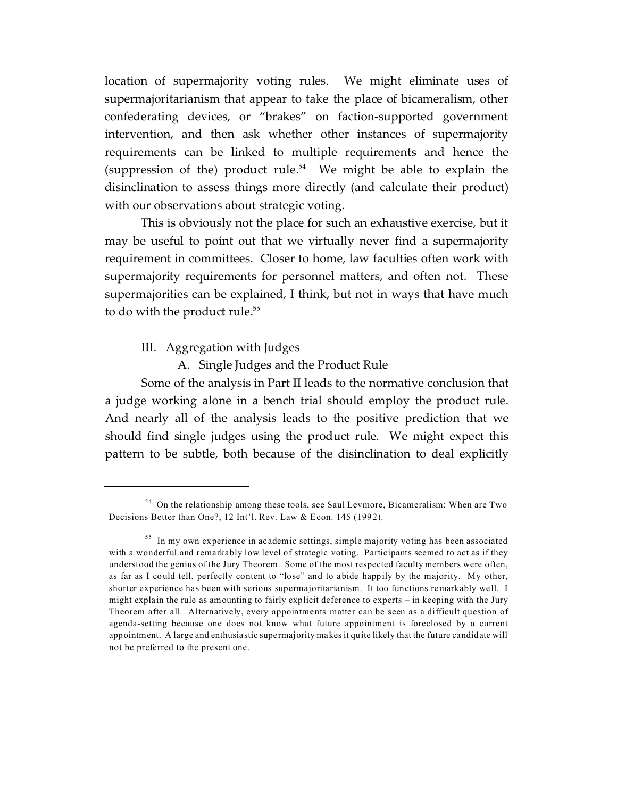location of supermajority voting rules. We might eliminate uses of supermajoritarianism that appear to take the place of bicameralism, other confederating devices, or "brakes" on faction-supported government intervention, and then ask whether other instances of supermajority requirements can be linked to multiple requirements and hence the (suppression of the) product rule.<sup>54</sup> We might be able to explain the disinclination to assess things more directly (and calculate their product) with our observations about strategic voting.

This is obviously not the place for such an exhaustive exercise, but it may be useful to point out that we virtually never find a supermajority requirement in committees. Closer to home, law faculties often work with supermajority requirements for personnel matters, and often not. These supermajorities can be explained, I think, but not in ways that have much to do with the product rule.<sup>55</sup>

III. Aggregation with Judges

A. Single Judges and the Product Rule

Some of the analysis in Part II leads to the normative conclusion that a judge working alone in a bench trial should employ the product rule. And nearly all of the analysis leads to the positive prediction that we should find single judges using the product rule. We might expect this pattern to be subtle, both because of the disinclination to deal explicitly

<sup>&</sup>lt;sup>54</sup> On the relationship among these tools, see Saul Levmore, Bicameralism: When are Two Decisions Better than One?, 12 Int'l. Rev. Law & Econ. 145 (1992).

<sup>&</sup>lt;sup>55</sup> In my own experience in academic settings, simple majority voting has been associated with a wonderful and remarkably low level of strategic voting. Participants seemed to act as if they understood the genius of the Jury Theorem. Some of the most respected faculty members were often, as far as I could tell, perfectly content to "lose" and to abide happily by the majority. My other, shorter experience has been with serious supermajoritarianism. It too functions remarkably well. I might explain the rule as amounting to fairly explicit deference to experts – in keeping with the Jury Theorem after all. Alternatively, every appointments matter can be seen as a difficult question of agenda-setting because one does not know what future appointment is foreclosed by a current appointment. A large and enthusiastic supermajority makes it quite likely that the future candidate will not be preferred to the present one.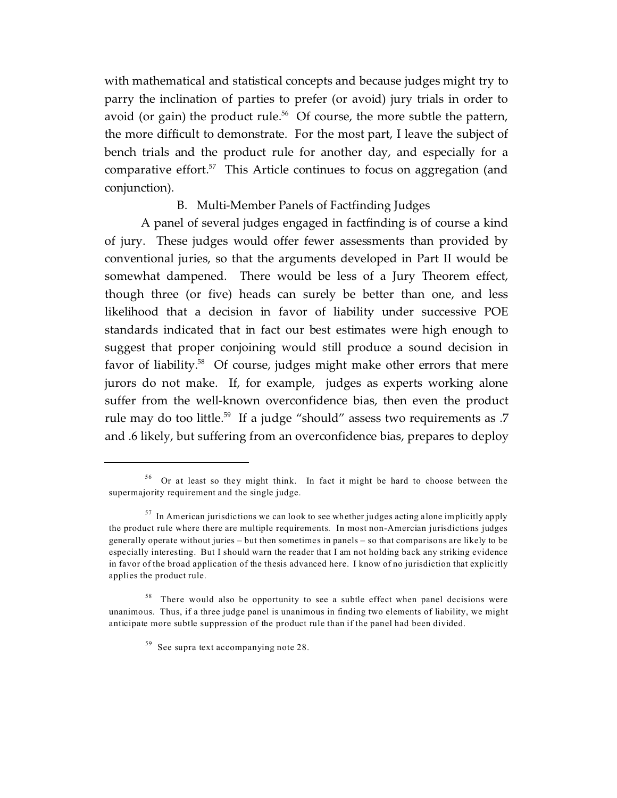with mathematical and statistical concepts and because judges might try to parry the inclination of parties to prefer (or avoid) jury trials in order to avoid (or gain) the product rule. $56$  Of course, the more subtle the pattern, the more difficult to demonstrate. For the most part, I leave the subject of bench trials and the product rule for another day, and especially for a comparative effort.<sup>57</sup> This Article continues to focus on aggregation (and conjunction).

#### B. Multi-Member Panels of Factfinding Judges

A panel of several judges engaged in factfinding is of course a kind of jury. These judges would offer fewer assessments than provided by conventional juries, so that the arguments developed in Part II would be somewhat dampened. There would be less of a Jury Theorem effect, though three (or five) heads can surely be better than one, and less likelihood that a decision in favor of liability under successive POE standards indicated that in fact our best estimates were high enough to suggest that proper conjoining would still produce a sound decision in favor of liability.<sup>58</sup> Of course, judges might make other errors that mere jurors do not make. If, for example, judges as experts working alone suffer from the well-known overconfidence bias, then even the product rule may do too little.<sup>59</sup> If a judge "should" assess two requirements as .7 and .6 likely, but suffering from an overconfidence bias, prepares to deploy

<sup>56</sup> Or at least so they might think. In fact it might be hard to choose between the supermajority requirement and the single judge.

 $57$  In American jurisdictions we can look to see whether judges acting alone implicitly apply the product rule where there are multiple requirements. In most non-Amercian jurisdictions judges generally operate without juries – but then sometimes in panels – so that comparisons are likely to be especially interesting. But I should warn the reader that I am not holding back any striking evidence in favor of the broad application of the thesis advanced here. I know of no jurisdiction that explicitly applies the product rule.

<sup>58</sup> There would also be opportunity to see a subtle effect when panel decisions were unanimous. Thus, if a three judge panel is unanimous in finding two elements of liability, we might anticipate more subtle suppression of the product rule than if the panel had been divided.

<sup>&</sup>lt;sup>59</sup> See supra text accompanying note 28.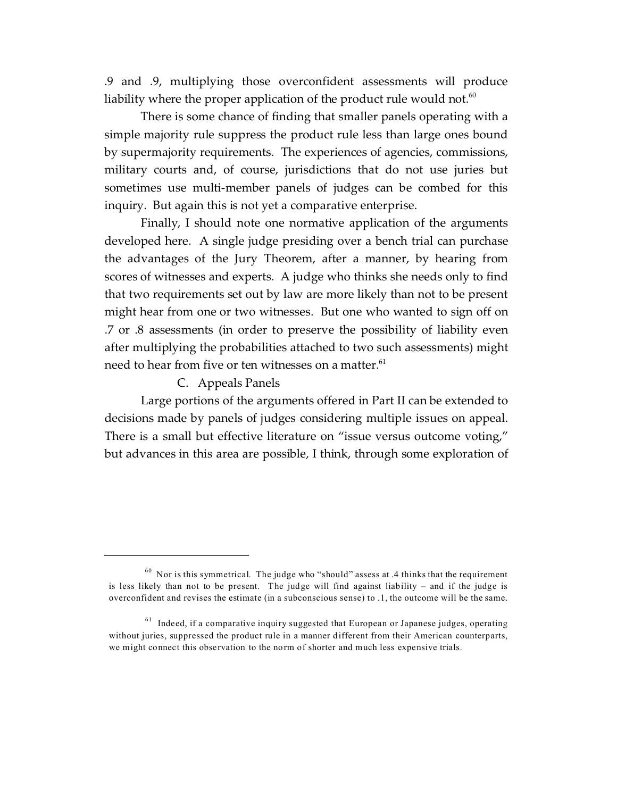.9 and .9, multiplying those overconfident assessments will produce liability where the proper application of the product rule would not. $60$ 

There is some chance of finding that smaller panels operating with a simple majority rule suppress the product rule less than large ones bound by supermajority requirements. The experiences of agencies, commissions, military courts and, of course, jurisdictions that do not use juries but sometimes use multi-member panels of judges can be combed for this inquiry. But again this is not yet a comparative enterprise.

Finally, I should note one normative application of the arguments developed here. A single judge presiding over a bench trial can purchase the advantages of the Jury Theorem, after a manner, by hearing from scores of witnesses and experts. A judge who thinks she needs only to find that two requirements set out by law are more likely than not to be present might hear from one or two witnesses. But one who wanted to sign off on .7 or .8 assessments (in order to preserve the possibility of liability even after multiplying the probabilities attached to two such assessments) might need to hear from five or ten witnesses on a matter.<sup>61</sup>

C. Appeals Panels

Large portions of the arguments offered in Part II can be extended to decisions made by panels of judges considering multiple issues on appeal. There is a small but effective literature on "issue versus outcome voting," but advances in this area are possible, I think, through some exploration of

 $60$  Nor is this symmetrical. The judge who "should" assess at .4 thinks that the requirement is less likely than not to be present. The judge will find against liability – and if the judge is overconfident and revises the estimate (in a subconscious sense) to .1, the outcome will be the same.

 $61$  Indeed, if a comparative inquiry suggested that European or Japanese judges, operating without juries, suppressed the product rule in a manner different from their American counterparts, we might connect this observation to the norm of shorter and much less expensive trials.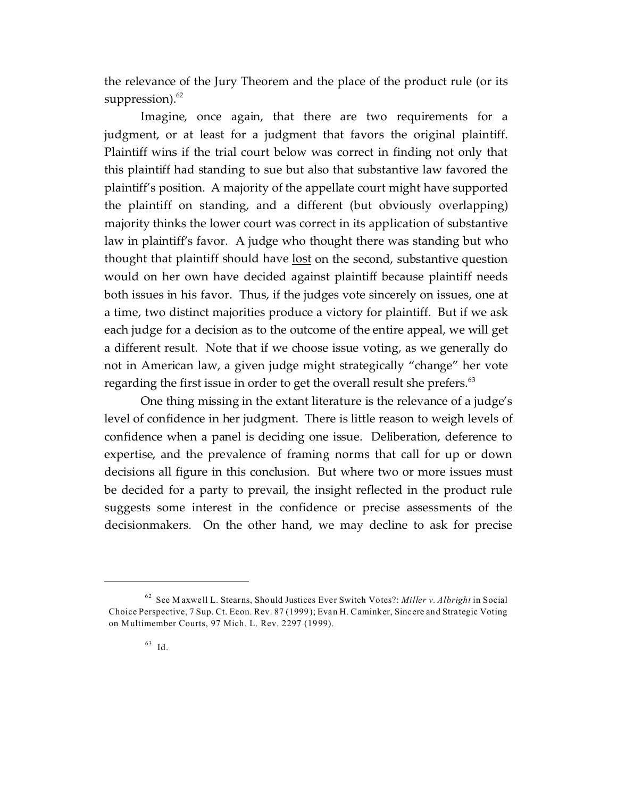the relevance of the Jury Theorem and the place of the product rule (or its suppression). $62$ 

Imagine, once again, that there are two requirements for a judgment, or at least for a judgment that favors the original plaintiff. Plaintiff wins if the trial court below was correct in finding not only that this plaintiff had standing to sue but also that substantive law favored the plaintiff's position. A majority of the appellate court might have supported the plaintiff on standing, and a different (but obviously overlapping) majority thinks the lower court was correct in its application of substantive law in plaintiff's favor. A judge who thought there was standing but who thought that plaintiff should have lost on the second, substantive question would on her own have decided against plaintiff because plaintiff needs both issues in his favor. Thus, if the judges vote sincerely on issues, one at a time, two distinct majorities produce a victory for plaintiff. But if we ask each judge for a decision as to the outcome of the entire appeal, we will get a different result. Note that if we choose issue voting, as we generally do not in American law, a given judge might strategically "change" her vote regarding the first issue in order to get the overall result she prefers.<sup>63</sup>

One thing missing in the extant literature is the relevance of a judge's level of confidence in her judgment. There is little reason to weigh levels of confidence when a panel is deciding one issue. Deliberation, deference to expertise, and the prevalence of framing norms that call for up or down decisions all figure in this conclusion. But where two or more issues must be decided for a party to prevail, the insight reflected in the product rule suggests some interest in the confidence or precise assessments of the decisionmakers. On the other hand, we may decline to ask for precise

<sup>62</sup> See Maxwell L. Stearns, Should Justices Ever Switch Votes?: *Miller v. Albright* in Social Choice Perspective, 7 Sup. Ct. Econ. Rev. 87 (1999); Evan H. Caminker, Sincere and Strategic Voting on Multimember Courts, 97 Mich. L. Rev. 2297 (1999).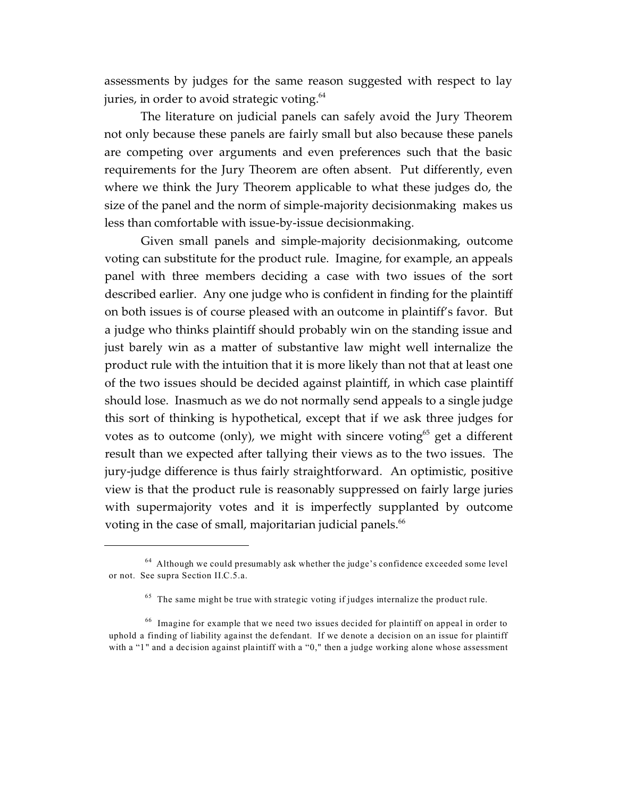assessments by judges for the same reason suggested with respect to lay juries, in order to avoid strategic voting. $64$ 

The literature on judicial panels can safely avoid the Jury Theorem not only because these panels are fairly small but also because these panels are competing over arguments and even preferences such that the basic requirements for the Jury Theorem are often absent. Put differently, even where we think the Jury Theorem applicable to what these judges do, the size of the panel and the norm of simple-majority decisionmaking makes us less than comfortable with issue-by-issue decisionmaking.

Given small panels and simple-majority decisionmaking, outcome voting can substitute for the product rule. Imagine, for example, an appeals panel with three members deciding a case with two issues of the sort described earlier. Any one judge who is confident in finding for the plaintiff on both issues is of course pleased with an outcome in plaintiff's favor. But a judge who thinks plaintiff should probably win on the standing issue and just barely win as a matter of substantive law might well internalize the product rule with the intuition that it is more likely than not that at least one of the two issues should be decided against plaintiff, in which case plaintiff should lose. Inasmuch as we do not normally send appeals to a single judge this sort of thinking is hypothetical, except that if we ask three judges for votes as to outcome (only), we might with sincere voting<sup>65</sup> get a different result than we expected after tallying their views as to the two issues. The jury-judge difference is thus fairly straightforward. An optimistic, positive view is that the product rule is reasonably suppressed on fairly large juries with supermajority votes and it is imperfectly supplanted by outcome voting in the case of small, majoritarian judicial panels.<sup>66</sup>

 $64$  Although we could presumably ask whether the judge's confidence exceeded some level or not. See supra Section II.C.5.a.

 $65$  The same might be true with strategic voting if judges internalize the product rule.

<sup>66</sup> Imagine for example that we need two issues decided for plaintiff on appeal in order to uphold a finding of liability against the defendant. If we denote a decision on an issue for plaintiff with a "1" and a decision against plaintiff with a "0," then a judge working alone whose assessment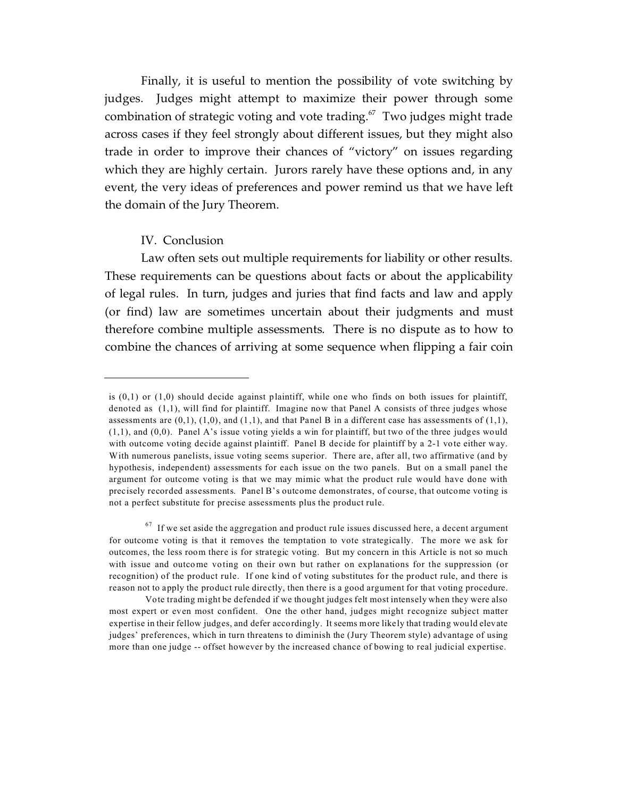Finally, it is useful to mention the possibility of vote switching by judges. Judges might attempt to maximize their power through some combination of strategic voting and vote trading. $67$  Two judges might trade across cases if they feel strongly about different issues, but they might also trade in order to improve their chances of "victory" on issues regarding which they are highly certain. Jurors rarely have these options and, in any event, the very ideas of preferences and power remind us that we have left the domain of the Jury Theorem.

#### IV. Conclusion

Law often sets out multiple requirements for liability or other results. These requirements can be questions about facts or about the applicability of legal rules. In turn, judges and juries that find facts and law and apply (or find) law are sometimes uncertain about their judgments and must therefore combine multiple assessments. There is no dispute as to how to combine the chances of arriving at some sequence when flipping a fair coin

is  $(0,1)$  or  $(1,0)$  should decide against plaintiff, while one who finds on both issues for plaintiff, denoted as (1,1), will find for plaintiff. Imagine now that Panel A consists of three judges whose assessments are  $(0,1)$ ,  $(1,0)$ , and  $(1,1)$ , and that Panel B in a different case has assessments of  $(1,1)$ , (1,1), and (0,0). Panel A's issue voting yields a win for plaintiff, but two of the three judges would with outcome voting decide against plaintiff. Panel B decide for plaintiff by a 2-1 vote either way. With numerous panelists, issue voting seems superior. There are, after all, two affirmative (and by hypothesis, independent) assessments for each issue on the two panels. But on a small panel the argument for outcome voting is that we may mimic what the product rule would have done with precisely recorded assessments. Panel B's outcome demonstrates, of course, that outcome voting is not a perfect substitute for precise assessments plus the product rule.

 $67$  If we set aside the aggregation and product rule issues discussed here, a decent argument for outcome voting is that it removes the temptation to vote strategically. The more we ask for outcomes, the less room there is for strategic voting. But my concern in this Article is not so much with issue and outcome voting on their own but rather on explanations for the suppression (or recognition) of the product rule. If one kind of voting substitutes for the product rule, and there is reason not to apply the product rule directly, then there is a good argument for that voting procedure.

Vote trading might be defended if we thought judges felt most intensely when they were also most expert or even most confident. One the other hand, judges might recognize subject matter expertise in their fellow judges, and defer accordingly. It seems more likely that trading would elevate judges' preferences, which in turn threatens to diminish the (Jury Theorem style) advantage of using more than one judge -- offset however by the increased chance of bowing to real judicial expertise.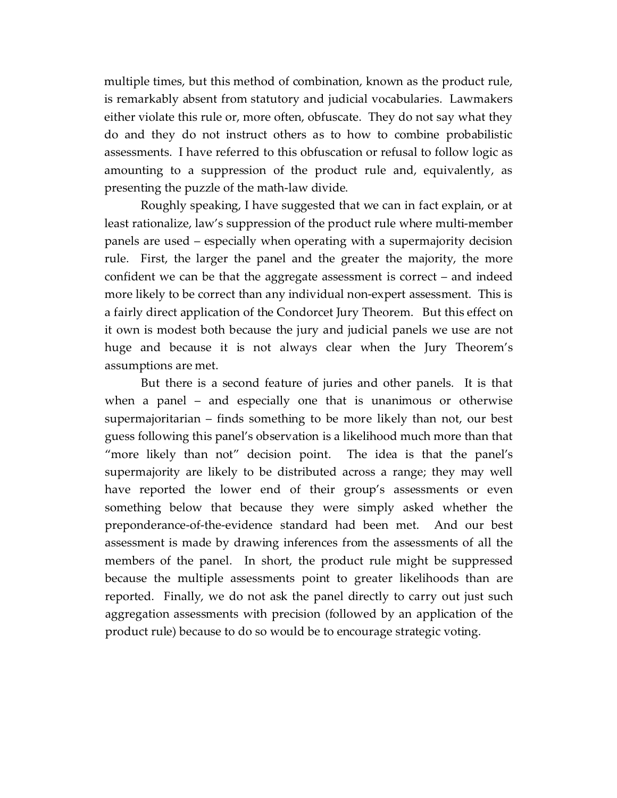multiple times, but this method of combination, known as the product rule, is remarkably absent from statutory and judicial vocabularies. Lawmakers either violate this rule or, more often, obfuscate. They do not say what they do and they do not instruct others as to how to combine probabilistic assessments. I have referred to this obfuscation or refusal to follow logic as amounting to a suppression of the product rule and, equivalently, as presenting the puzzle of the math-law divide.

Roughly speaking, I have suggested that we can in fact explain, or at least rationalize, law's suppression of the product rule where multi-member panels are used – especially when operating with a supermajority decision rule. First, the larger the panel and the greater the majority, the more confident we can be that the aggregate assessment is correct – and indeed more likely to be correct than any individual non-expert assessment. This is a fairly direct application of the Condorcet Jury Theorem. But this effect on it own is modest both because the jury and judicial panels we use are not huge and because it is not always clear when the Jury Theorem's assumptions are met.

But there is a second feature of juries and other panels. It is that when a panel – and especially one that is unanimous or otherwise supermajoritarian – finds something to be more likely than not, our best guess following this panel's observation is a likelihood much more than that "more likely than not" decision point. The idea is that the panel's supermajority are likely to be distributed across a range; they may well have reported the lower end of their group's assessments or even something below that because they were simply asked whether the preponderance-of-the-evidence standard had been met. And our best assessment is made by drawing inferences from the assessments of all the members of the panel. In short, the product rule might be suppressed because the multiple assessments point to greater likelihoods than are reported. Finally, we do not ask the panel directly to carry out just such aggregation assessments with precision (followed by an application of the product rule) because to do so would be to encourage strategic voting.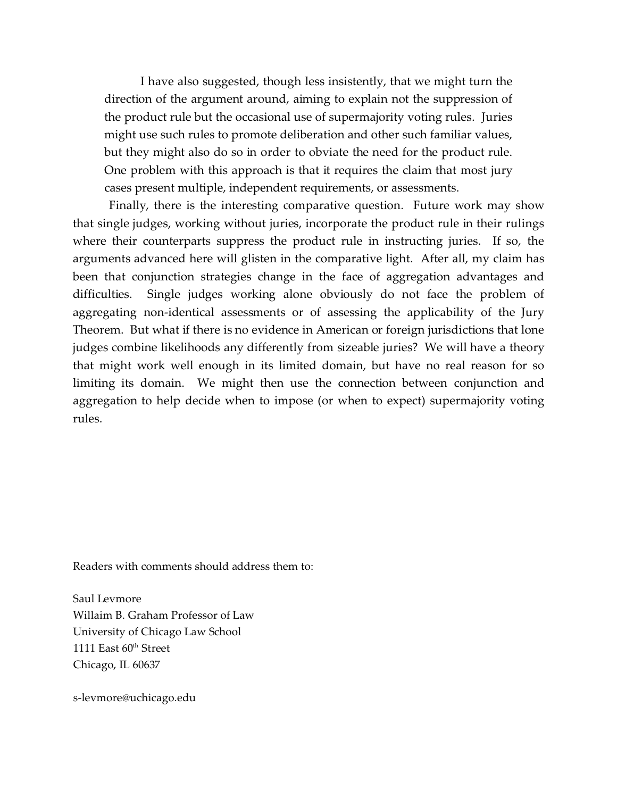I have also suggested, though less insistently, that we might turn the direction of the argument around, aiming to explain not the suppression of the product rule but the occasional use of supermajority voting rules. Juries might use such rules to promote deliberation and other such familiar values, but they might also do so in order to obviate the need for the product rule. One problem with this approach is that it requires the claim that most jury cases present multiple, independent requirements, or assessments.

Finally, there is the interesting comparative question. Future work may show that single judges, working without juries, incorporate the product rule in their rulings where their counterparts suppress the product rule in instructing juries. If so, the arguments advanced here will glisten in the comparative light. After all, my claim has been that conjunction strategies change in the face of aggregation advantages and difficulties. Single judges working alone obviously do not face the problem of aggregating non-identical assessments or of assessing the applicability of the Jury Theorem. But what if there is no evidence in American or foreign jurisdictions that lone judges combine likelihoods any differently from sizeable juries? We will have a theory that might work well enough in its limited domain, but have no real reason for so limiting its domain. We might then use the connection between conjunction and aggregation to help decide when to impose (or when to expect) supermajority voting rules.

Readers with comments should address them to:

Saul Levmore Willaim B. Graham Professor of Law University of Chicago Law School 1111 East 60<sup>th</sup> Street Chicago, IL 60637

s-levmore@uchicago.edu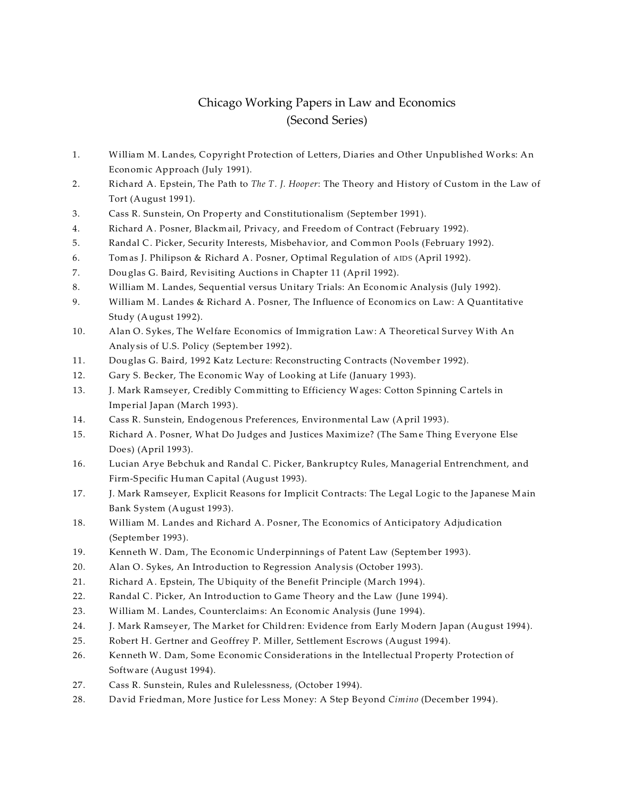## Chicago Working Papers in Law and Economics (Second Series)

- 1. William M. Landes, Copyright Protection of Letters, Diaries and Other Unpublished Works: An Economic Approach (July 1991).
- 2. Richard A. Epstein, The Path to *The T. J. Hooper*: The Theory and History of Custom in the Law of Tort (August 1991).
- 3. Cass R. Sunstein, On Property and Constitutionalism (September 1991).
- 4. Richard A. Posner, Blackmail, Privacy, and Freedom of Contract (February 1992).
- 5. Randal C. Picker, Security Interests, Misbehavior, and Common Pools (February 1992).
- 6. Tomas J. Philipson & Richard A. Posner, Optimal Regulation of AIDS (April 1992).
- 7. Douglas G. Baird, Revisiting Auctions in Chapter 11 (April 1992).
- 8. William M. Landes, Sequential versus Unitary Trials: An Economic Analysis (July 1992).
- 9. William M. Landes & Richard A. Posner, The Influence of Economics on Law: A Quantitative Study (August 1992).
- 10. Alan O. Sykes, The Welfare Economics of Immigration Law: A Theoretical Survey With An Analysis of U.S. Policy (September 1992).
- 11. Douglas G. Baird, 1992 Katz Lecture: Reconstructing Contracts (November 1992).
- 12. Gary S. Becker, The Economic Way of Looking at Life (January 1993).
- 13. J. Mark Ramseyer, Credibly Committing to Efficiency Wages: Cotton Spinning Cartels in Imperial Japan (March 1993).
- 14. Cass R. Sunstein, Endogenous Preferences, Environmental Law (April 1993).
- 15. Richard A. Posner, What Do Judges and Justices Maximize? (The Same Thing Everyone Else Does) (April 1993).
- 16. Lucian Arye Bebchuk and Randal C. Picker, Bankruptcy Rules, Managerial Entrenchment, and Firm-Specific Human Capital (August 1993).
- 17. J. Mark Ramseyer, Explicit Reasons for Implicit Contracts: The Legal Logic to the Japanese Main Bank System (August 1993).
- 18. William M. Landes and Richard A. Posner, The Economics of Anticipatory Adjudication (September 1993).
- 19. Kenneth W. Dam, The Economic Underpinnings of Patent Law (September 1993).
- 20. Alan O. Sykes, An Introduction to Regression Analysis (October 1993).
- 21. Richard A. Epstein, The Ubiquity of the Benefit Principle (March 1994).
- 22. Randal C. Picker, An Introduction to Game Theory and the Law (June 1994).
- 23. William M. Landes, Counterclaims: An Economic Analysis (June 1994).
- 24. J. Mark Ramseyer, The Market for Children: Evidence from Early Modern Japan (August 1994).
- 25. Robert H. Gertner and Geoffrey P. Miller, Settlement Escrows (August 1994).
- 26. Kenneth W. Dam, Some Economic Considerations in the Intellectual Property Protection of Software (August 1994).
- 27. Cass R. Sunstein, Rules and Rulelessness, (October 1994).
- 28. David Friedman, More Justice for Less Money: A Step Beyond *Cimino* (December 1994).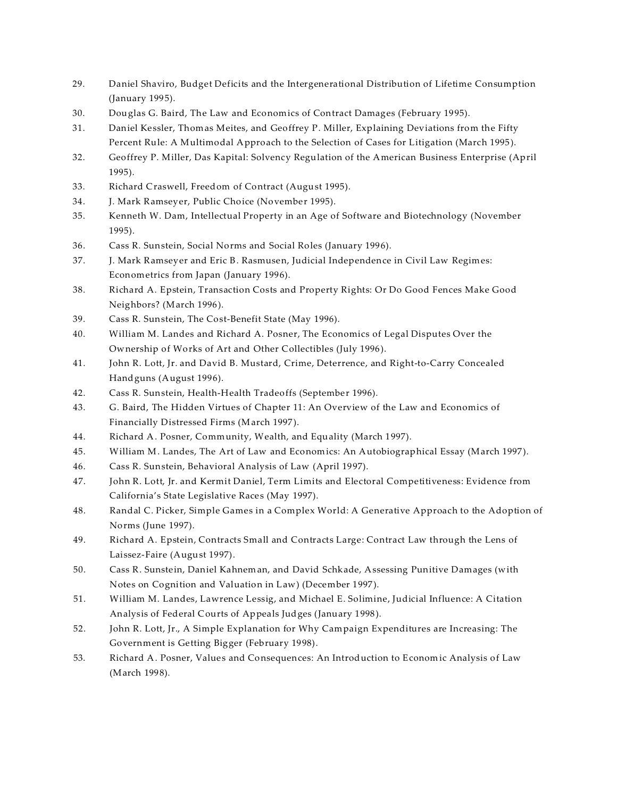- 29. Daniel Shaviro, Budget Deficits and the Intergenerational Distribution of Lifetime Consumption (January 1995).
- 30. Douglas G. Baird, The Law and Economics of Contract Damages (February 1995).
- 31. Daniel Kessler, Thomas Meites, and Geoffrey P. Miller, Explaining Deviations from the Fifty Percent Rule: A Multimodal Approach to the Selection of Cases for Litigation (March 1995).
- 32. Geoffrey P. Miller, Das Kapital: Solvency Regulation of the American Business Enterprise (April 1995).
- 33. Richard Craswell, Freedom of Contract (August 1995).
- 34. J. Mark Ramseyer, Public Choice (November 1995).
- 35. Kenneth W. Dam, Intellectual Property in an Age of Software and Biotechnology (November 1995).
- 36. Cass R. Sunstein, Social Norms and Social Roles (January 1996).
- 37. J. Mark Ramseyer and Eric B. Rasmusen, Judicial Independence in Civil Law Regimes: Econometrics from Japan (January 1996).
- 38. Richard A. Epstein, Transaction Costs and Property Rights: Or Do Good Fences Make Good Neighbors? (March 1996).
- 39. Cass R. Sunstein, The Cost-Benefit State (May 1996).
- 40. William M. Landes and Richard A. Posner, The Economics of Legal Disputes Over the Ownership of Works of Art and Other Collectibles (July 1996).
- 41. John R. Lott, Jr. and David B. Mustard, Crime, Deterrence, and Right-to-Carry Concealed Handguns (August 1996).
- 42. Cass R. Sunstein, Health-Health Tradeoffs (September 1996).
- 43. G. Baird, The Hidden Virtues of Chapter 11: An Overview of the Law and Economics of Financially Distressed Firms (March 1997).
- 44. Richard A. Posner, Community, Wealth, and Equality (March 1997).
- 45. William M. Landes, The Art of Law and Economics: An Autobiographical Essay (March 1997).
- 46. Cass R. Sunstein, Behavioral Analysis of Law (April 1997).
- 47. John R. Lott, Jr. and Kermit Daniel, Term Limits and Electoral Competitiveness: Evidence from California's State Legislative Races (May 1997).
- 48. Randal C. Picker, Simple Games in a Complex World: A Generative Approach to the Adoption of Norms (June 1997).
- 49. Richard A. Epstein, Contracts Small and Contracts Large: Contract Law through the Lens of Laissez-Faire (August 1997).
- 50. Cass R. Sunstein, Daniel Kahneman, and David Schkade, Assessing Punitive Damages (with Notes on Cognition and Valuation in Law) (December 1997).
- 51. William M. Landes, Lawrence Lessig, and Michael E. Solimine, Judicial Influence: A Citation Analysis of Federal Courts of Appeals Judges (January 1998).
- 52. John R. Lott, Jr., A Simple Explanation for Why Campaign Expenditures are Increasing: The Government is Getting Bigger (February 1998).
- 53. Richard A. Posner, Values and Consequences: An Introduction to Economic Analysis of Law (March 1998).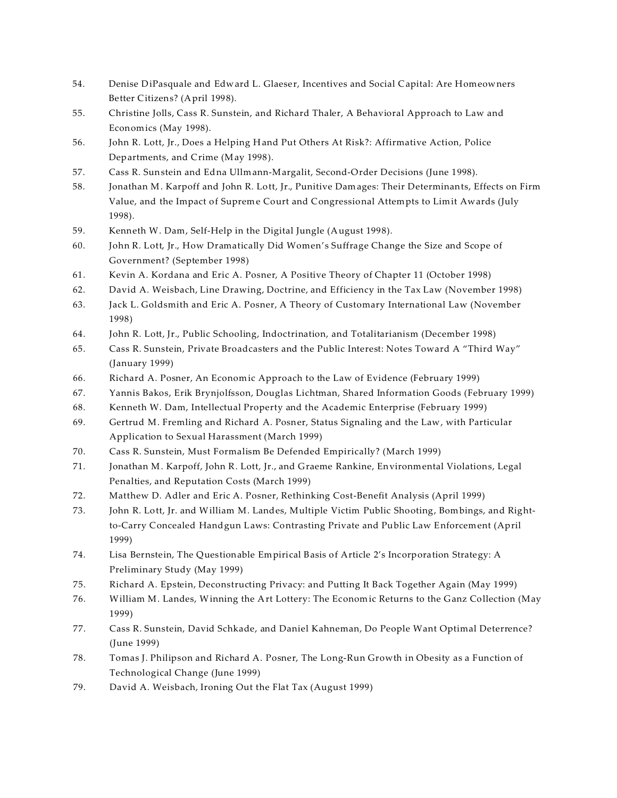- 54. Denise DiPasquale and Edward L. Glaeser, Incentives and Social Capital: Are Homeowners Better Citizens? (April 1998).
- 55. Christine Jolls, Cass R. Sunstein, and Richard Thaler, A Behavioral Approach to Law and Economics (May 1998).
- 56. John R. Lott, Jr., Does a Helping Hand Put Others At Risk?: Affirmative Action, Police Departments, and Crime (May 1998).
- 57. Cass R. Sunstein and Edna Ullmann-Margalit, Second-Order Decisions (June 1998).
- 58. Jonathan M. Karpoff and John R. Lott, Jr., Punitive Damages: Their Determinants, Effects on Firm Value, and the Impact of Supreme Court and Congressional Attempts to Limit Awards (July 1998).
- 59. Kenneth W. Dam, Self-Help in the Digital Jungle (August 1998).
- 60. John R. Lott, Jr., How Dramatically Did Women's Suffrage Change the Size and Scope of Government? (September 1998)
- 61. Kevin A. Kordana and Eric A. Posner, A Positive Theory of Chapter 11 (October 1998)
- 62. David A. Weisbach, Line Drawing, Doctrine, and Efficiency in the Tax Law (November 1998)
- 63. Jack L. Goldsmith and Eric A. Posner, A Theory of Customary International Law (November 1998)
- 64. John R. Lott, Jr., Public Schooling, Indoctrination, and Totalitarianism (December 1998)
- 65. Cass R. Sunstein, Private Broadcasters and the Public Interest: Notes Toward A "Third Way" (January 1999)
- 66. Richard A. Posner, An Economic Approach to the Law of Evidence (February 1999)
- 67. Yannis Bakos, Erik Brynjolfsson, Douglas Lichtman, Shared Information Goods (February 1999)
- 68. Kenneth W. Dam, Intellectual Property and the Academic Enterprise (February 1999)
- 69. Gertrud M. Fremling and Richard A. Posner, Status Signaling and the Law, with Particular Application to Sexual Harassment (March 1999)
- 70. Cass R. Sunstein, Must Formalism Be Defended Empirically? (March 1999)
- 71. Jonathan M. Karpoff, John R. Lott, Jr., and Graeme Rankine, Environmental Violations, Legal Penalties, and Reputation Costs (March 1999)
- 72. Matthew D. Adler and Eric A. Posner, Rethinking Cost-Benefit Analysis (April 1999)
- 73. John R. Lott, Jr. and William M. Landes, Multiple Victim Public Shooting, Bombings, and Rightto-Carry Concealed Handgun Laws: Contrasting Private and Public Law Enforcement (April 1999)
- 74. Lisa Bernstein, The Questionable Empirical Basis of Article 2's Incorporation Strategy: A Preliminary Study (May 1999)
- 75. Richard A. Epstein, Deconstructing Privacy: and Putting It Back Together Again (May 1999)
- 76. William M. Landes, Winning the Art Lottery: The Economic Returns to the Ganz Collection (May 1999)
- 77. Cass R. Sunstein, David Schkade, and Daniel Kahneman, Do People Want Optimal Deterrence? (June 1999)
- 78. Tomas J. Philipson and Richard A. Posner, The Long-Run Growth in Obesity as a Function of Technological Change (June 1999)
- 79. David A. Weisbach, Ironing Out the Flat Tax (August 1999)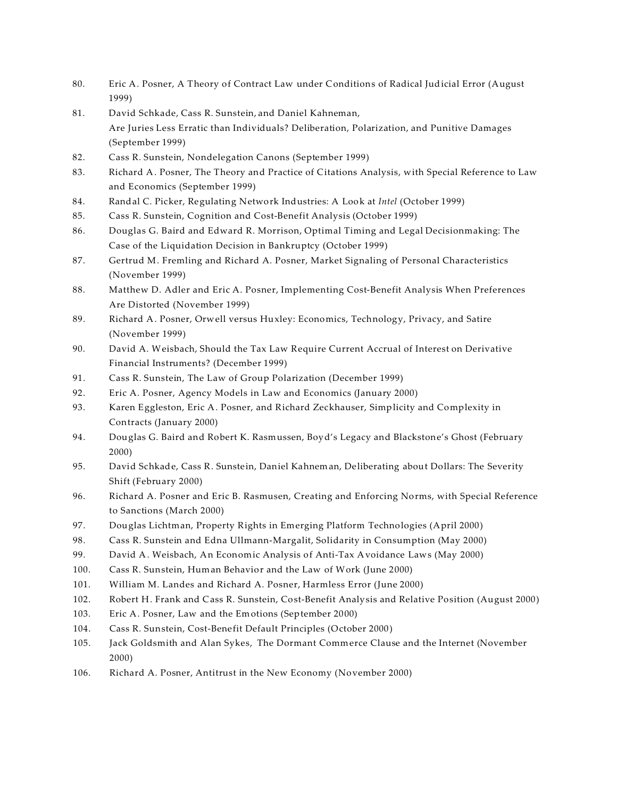- 80. Eric A. Posner, A Theory of Contract Law under Conditions of Radical Judicial Error (August 1999)
- 81. David Schkade, Cass R. Sunstein, and Daniel Kahneman, Are Juries Less Erratic than Individuals? Deliberation, Polarization, and Punitive Damages (September 1999)
- 82. Cass R. Sunstein, Nondelegation Canons (September 1999)
- 83. Richard A. Posner, The Theory and Practice of Citations Analysis, with Special Reference to Law and Economics (September 1999)
- 84. Randal C. Picker, Regulating Network Industries: A Look at *Intel* (October 1999)
- 85. Cass R. Sunstein, Cognition and Cost-Benefit Analysis (October 1999)
- 86. Douglas G. Baird and Edward R. Morrison, Optimal Timing and Legal Decisionmaking: The Case of the Liquidation Decision in Bankruptcy (October 1999)
- 87. Gertrud M. Fremling and Richard A. Posner, Market Signaling of Personal Characteristics (November 1999)
- 88. Matthew D. Adler and Eric A. Posner, Implementing Cost-Benefit Analysis When Preferences Are Distorted (November 1999)
- 89. Richard A. Posner, Orwell versus Huxley: Economics, Technology, Privacy, and Satire (November 1999)
- 90. David A. Weisbach, Should the Tax Law Require Current Accrual of Interest on Derivative Financial Instruments? (December 1999)
- 91. Cass R. Sunstein, The Law of Group Polarization (December 1999)
- 92. Eric A. Posner, Agency Models in Law and Economics (January 2000)
- 93. Karen Eggleston, Eric A. Posner, and Richard Zeckhauser, Simplicity and Complexity in Contracts (January 2000)
- 94. Douglas G. Baird and Robert K. Rasmussen, Boyd's Legacy and Blackstone's Ghost (February 2000)
- 95. David Schkade, Cass R. Sunstein, Daniel Kahneman, Deliberating about Dollars: The Severity Shift (February 2000)
- 96. Richard A. Posner and Eric B. Rasmusen, Creating and Enforcing Norms, with Special Reference to Sanctions (March 2000)
- 97. Douglas Lichtman, Property Rights in Emerging Platform Technologies (April 2000)
- 98. Cass R. Sunstein and Edna Ullmann-Margalit, Solidarity in Consumption (May 2000)
- 99. David A. Weisbach, An Economic Analysis of Anti-Tax Avoidance Laws (May 2000)
- 100. Cass R. Sunstein, Human Behavior and the Law of Work (June 2000)
- 101. William M. Landes and Richard A. Posner, Harmless Error (June 2000)
- 102. Robert H. Frank and Cass R. Sunstein, Cost-Benefit Analysis and Relative Position (August 2000)
- 103. Eric A. Posner, Law and the Emotions (September 2000)
- 104. Cass R. Sunstein, Cost-Benefit Default Principles (October 2000)
- 105. Jack Goldsmith and Alan Sykes, The Dormant Commerce Clause and the Internet (November 2000)
- 106. Richard A. Posner, Antitrust in the New Economy (November 2000)